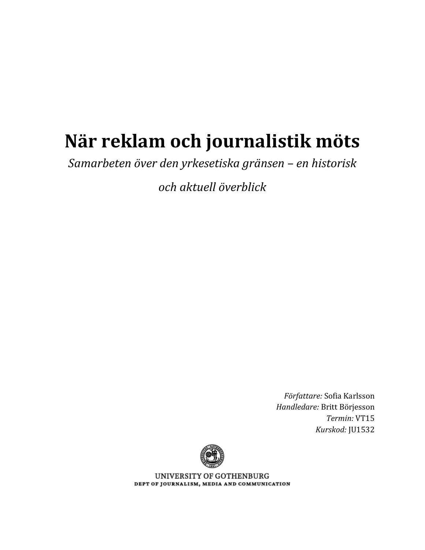# **När reklam och journalistik möts**

*Samarbeten över den yrkesetiska gränsen – en historisk*

*och aktuell överblick*

*Författare:* Sofia Karlsson *Handledare:* Britt Börjesson *Termin:* VT15 *Kurskod:* JU1532



UNIVERSITY OF GOTHENBURG DEPT OF JOURNALISM, MEDIA AND COMMUNICATION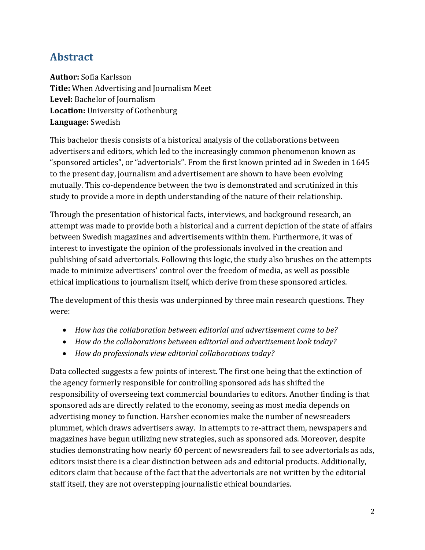### **Abstract**

**Author:** Sofia Karlsson **Title:** When Advertising and Journalism Meet **Level:** Bachelor of Journalism **Location:** University of Gothenburg **Language:** Swedish

This bachelor thesis consists of a historical analysis of the collaborations between advertisers and editors, which led to the increasingly common phenomenon known as "sponsored articles", or "advertorials". From the first known printed ad in Sweden in 1645 to the present day, journalism and advertisement are shown to have been evolving mutually. This co-dependence between the two is demonstrated and scrutinized in this study to provide a more in depth understanding of the nature of their relationship.

Through the presentation of historical facts, interviews, and background research, an attempt was made to provide both a historical and a current depiction of the state of affairs between Swedish magazines and advertisements within them. Furthermore, it was of interest to investigate the opinion of the professionals involved in the creation and publishing of said advertorials. Following this logic, the study also brushes on the attempts made to minimize advertisers' control over the freedom of media, as well as possible ethical implications to journalism itself, which derive from these sponsored articles.

The development of this thesis was underpinned by three main research questions. They were:

- *How has the collaboration between editorial and advertisement come to be?*
- *How do the collaborations between editorial and advertisement look today?*
- *How do professionals view editorial collaborations today?*

Data collected suggests a few points of interest. The first one being that the extinction of the agency formerly responsible for controlling sponsored ads has shifted the responsibility of overseeing text commercial boundaries to editors. Another finding is that sponsored ads are directly related to the economy, seeing as most media depends on advertising money to function. Harsher economies make the number of newsreaders plummet, which draws advertisers away. In attempts to re-attract them, newspapers and magazines have begun utilizing new strategies, such as sponsored ads. Moreover, despite studies demonstrating how nearly 60 percent of newsreaders fail to see advertorials as ads, editors insist there is a clear distinction between ads and editorial products. Additionally, editors claim that because of the fact that the advertorials are not written by the editorial staff itself, they are not overstepping journalistic ethical boundaries.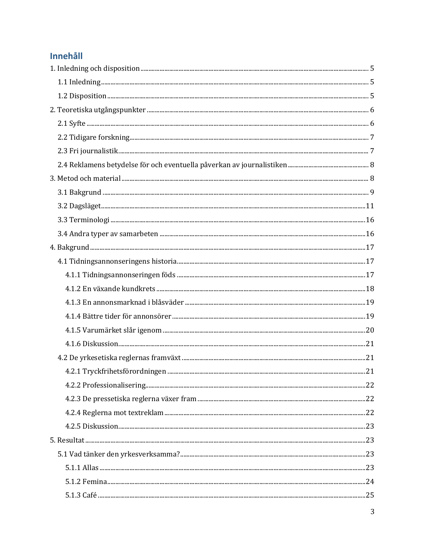### Innehåll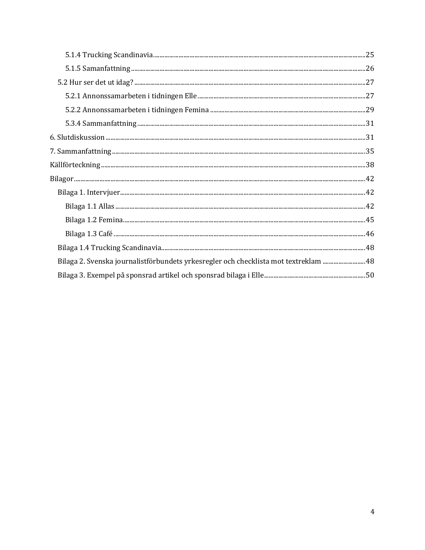| Bilaga 2. Svenska journalistförbundets yrkesregler och checklista mot textreklam  48 |  |
|--------------------------------------------------------------------------------------|--|
|                                                                                      |  |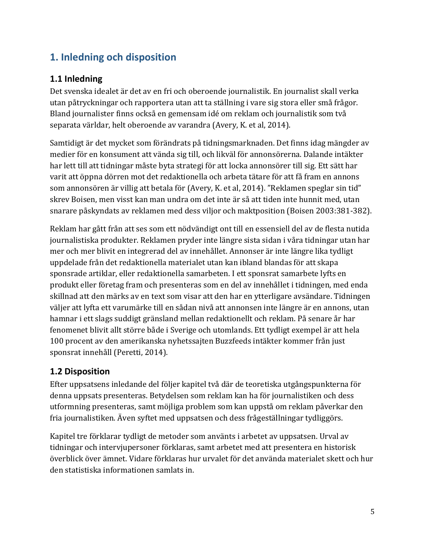### <span id="page-4-0"></span>**1. Inledning och disposition**

#### <span id="page-4-1"></span>**1.1 Inledning**

Det svenska idealet är det av en fri och oberoende journalistik. En journalist skall verka utan påtryckningar och rapportera utan att ta ställning i vare sig stora eller små frågor. Bland journalister finns också en gemensam idé om reklam och journalistik som två separata världar, helt oberoende av varandra (Avery, K. et al, 2014).

Samtidigt är det mycket som förändrats på tidningsmarknaden. Det finns idag mängder av medier för en konsument att vända sig till, och likväl för annonsörerna. Dalande intäkter har lett till att tidningar måste byta strategi för att locka annonsörer till sig. Ett sätt har varit att öppna dörren mot det redaktionella och arbeta tätare för att få fram en annons som annonsören är villig att betala för (Avery, K. et al, 2014). "Reklamen speglar sin tid" skrev Boisen, men visst kan man undra om det inte är så att tiden inte hunnit med, utan snarare påskyndats av reklamen med dess viljor och maktposition (Boisen 2003:381-382).

Reklam har gått från att ses som ett nödvändigt ont till en essensiell del av de flesta nutida journalistiska produkter. Reklamen pryder inte längre sista sidan i våra tidningar utan har mer och mer blivit en integrerad del av innehållet. Annonser är inte längre lika tydligt uppdelade från det redaktionella materialet utan kan ibland blandas för att skapa sponsrade artiklar, eller redaktionella samarbeten. I ett sponsrat samarbete lyfts en produkt eller företag fram och presenteras som en del av innehållet i tidningen, med enda skillnad att den märks av en text som visar att den har en ytterligare avsändare. Tidningen väljer att lyfta ett varumärke till en sådan nivå att annonsen inte längre är en annons, utan hamnar i ett slags suddigt gränsland mellan redaktionellt och reklam. På senare år har fenomenet blivit allt större både i Sverige och utomlands. Ett tydligt exempel är att hela 100 procent av den amerikanska nyhetssajten Buzzfeeds intäkter kommer från just sponsrat innehåll (Peretti, 2014).

### <span id="page-4-2"></span>**1.2 Disposition**

Efter uppsatsens inledande del följer kapitel två där de teoretiska utgångspunkterna för denna uppsats presenteras. Betydelsen som reklam kan ha för journalistiken och dess utformning presenteras, samt möjliga problem som kan uppstå om reklam påverkar den fria journalistiken. Även syftet med uppsatsen och dess frågeställningar tydliggörs.

Kapitel tre förklarar tydligt de metoder som använts i arbetet av uppsatsen. Urval av tidningar och intervjupersoner förklaras, samt arbetet med att presentera en historisk överblick över ämnet. Vidare förklaras hur urvalet för det använda materialet skett och hur den statistiska informationen samlats in.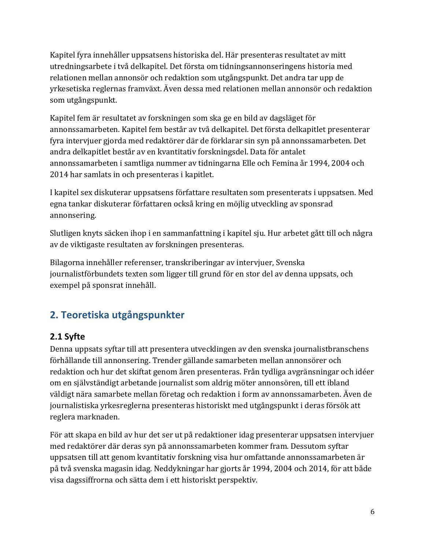Kapitel fyra innehåller uppsatsens historiska del. Här presenteras resultatet av mitt utredningsarbete i två delkapitel. Det första om tidningsannonseringens historia med relationen mellan annonsör och redaktion som utgångspunkt. Det andra tar upp de yrkesetiska reglernas framväxt. Även dessa med relationen mellan annonsör och redaktion som utgångspunkt.

Kapitel fem är resultatet av forskningen som ska ge en bild av dagsläget för annonssamarbeten. Kapitel fem består av två delkapitel. Det första delkapitlet presenterar fyra intervjuer gjorda med redaktörer där de förklarar sin syn på annonssamarbeten. Det andra delkapitlet består av en kvantitativ forskningsdel. Data för antalet annonssamarbeten i samtliga nummer av tidningarna Elle och Femina år 1994, 2004 och 2014 har samlats in och presenteras i kapitlet.

I kapitel sex diskuterar uppsatsens författare resultaten som presenterats i uppsatsen. Med egna tankar diskuterar författaren också kring en möjlig utveckling av sponsrad annonsering.

Slutligen knyts säcken ihop i en sammanfattning i kapitel sju. Hur arbetet gått till och några av de viktigaste resultaten av forskningen presenteras.

Bilagorna innehåller referenser, transkriberingar av intervjuer, Svenska journalistförbundets texten som ligger till grund för en stor del av denna uppsats, och exempel på sponsrat innehåll.

### <span id="page-5-0"></span>**2. Teoretiska utgångspunkter**

#### <span id="page-5-1"></span>**2.1 Syfte**

Denna uppsats syftar till att presentera utvecklingen av den svenska journalistbranschens förhållande till annonsering. Trender gällande samarbeten mellan annonsörer och redaktion och hur det skiftat genom åren presenteras. Från tydliga avgränsningar och idéer om en självständigt arbetande journalist som aldrig möter annonsören, till ett ibland väldigt nära samarbete mellan företag och redaktion i form av annonssamarbeten. Även de journalistiska yrkesreglerna presenteras historiskt med utgångspunkt i deras försök att reglera marknaden.

För att skapa en bild av hur det ser ut på redaktioner idag presenterar uppsatsen intervjuer med redaktörer där deras syn på annonssamarbeten kommer fram. Dessutom syftar uppsatsen till att genom kvantitativ forskning visa hur omfattande annonssamarbeten är på två svenska magasin idag. Neddykningar har gjorts år 1994, 2004 och 2014, för att både visa dagssiffrorna och sätta dem i ett historiskt perspektiv.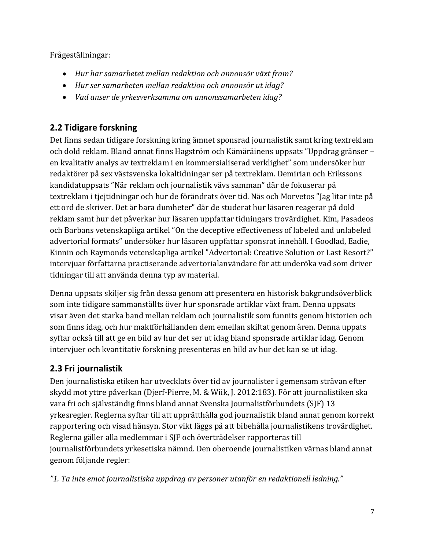Frågeställningar:

- *Hur har samarbetet mellan redaktion och annonsör växt fram?*
- *Hur ser samarbeten mellan redaktion och annonsör ut idag?*
- *Vad anser de yrkesverksamma om annonssamarbeten idag?*

### <span id="page-6-0"></span>**2.2 Tidigare forskning**

Det finns sedan tidigare forskning kring ämnet sponsrad journalistik samt kring textreklam och dold reklam. Bland annat finns Hagström och Kämäräinens uppsats "Uppdrag gränser – en kvalitativ analys av textreklam i en kommersialiserad verklighet" som undersöker hur redaktörer på sex västsvenska lokaltidningar ser på textreklam. Demirian och Erikssons kandidatuppsats "När reklam och journalistik vävs samman" där de fokuserar på textreklam i tjejtidningar och hur de förändrats över tid. Näs och Morvetos "Jag litar inte på ett ord de skriver. Det är bara dumheter" där de studerat hur läsaren reagerar på dold reklam samt hur det påverkar hur läsaren uppfattar tidningars trovärdighet. Kim, Pasadeos och Barbans vetenskapliga artikel "On the deceptive effectiveness of labeled and unlabeled advertorial formats" undersöker hur läsaren uppfattar sponsrat innehåll. I Goodlad, Eadie, Kinnin och Raymonds vetenskapliga artikel "Advertorial: Creative Solution or Last Resort?" intervjuar författarna practiserande advertorialanvändare för att underöka vad som driver tidningar till att använda denna typ av material.

Denna uppsats skiljer sig från dessa genom att presentera en historisk bakgrundsöverblick som inte tidigare sammanställts över hur sponsrade artiklar växt fram. Denna uppsats visar även det starka band mellan reklam och journalistik som funnits genom historien och som finns idag, och hur maktförhållanden dem emellan skiftat genom åren. Denna uppats syftar också till att ge en bild av hur det ser ut idag bland sponsrade artiklar idag. Genom intervjuer och kvantitativ forskning presenteras en bild av hur det kan se ut idag.

### <span id="page-6-1"></span>**2.3 Fri journalistik**

Den journalistiska etiken har utvecklats över tid av journalister i gemensam strävan efter skydd mot yttre påverkan (Djerf-Pierre, M. & Wiik, J. 2012:183). För att journalistiken ska vara fri och självständig finns bland annat Svenska Journalistförbundets (SJF) 13 yrkesregler. Reglerna syftar till att upprätthålla god journalistik bland annat genom korrekt rapportering och visad hänsyn. Stor vikt läggs på att bibehålla journalistikens trovärdighet. Reglerna gäller alla medlemmar i SJF och överträdelser rapporteras till journalistförbundets yrkesetiska nämnd. Den oberoende journalistiken värnas bland annat genom följande regler:

*"1. Ta inte emot journalistiska uppdrag av personer utanför en redaktionell ledning."*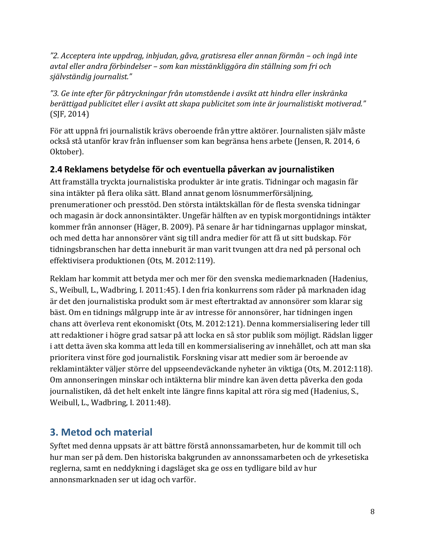*"2. Acceptera inte uppdrag, inbjudan, gåva, gratisresa eller annan förmån – och ingå inte avtal eller andra förbindelser – som kan misstänkliggöra din ställning som fri och självständig journalist."*

*"3. Ge inte efter för påtryckningar från utomstående i avsikt att hindra eller inskränka berättigad publicitet eller i avsikt att skapa publicitet som inte är journalistiskt motiverad."* (SJF, 2014)

För att uppnå fri journalistik krävs oberoende från yttre aktörer. Journalisten själv måste också stå utanför krav från influenser som kan begränsa hens arbete (Jensen, R. 2014, 6 Oktober).

#### <span id="page-7-0"></span>**2.4 Reklamens betydelse för och eventuella påverkan av journalistiken**

Att framställa tryckta journalistiska produkter är inte gratis. Tidningar och magasin får sina intäkter på flera olika sätt. Bland annat genom lösnummerförsäljning, prenumerationer och presstöd. Den största intäktskällan för de flesta svenska tidningar och magasin är dock annonsintäkter. Ungefär hälften av en typisk morgontidnings intäkter kommer från annonser (Häger, B. 2009). På senare år har tidningarnas upplagor minskat, och med detta har annonsörer vänt sig till andra medier för att få ut sitt budskap. För tidningsbranschen har detta inneburit är man varit tvungen att dra ned på personal och effektivisera produktionen (Ots, M. 2012:119).

Reklam har kommit att betyda mer och mer för den svenska mediemarknaden (Hadenius, S., Weibull, L., Wadbring, I. 2011:45). I den fria konkurrens som råder på marknaden idag är det den journalistiska produkt som är mest eftertraktad av annonsörer som klarar sig bäst. Om en tidnings målgrupp inte är av intresse för annonsörer, har tidningen ingen chans att överleva rent ekonomiskt (Ots, M. 2012:121). Denna kommersialisering leder till att redaktioner i högre grad satsar på att locka en så stor publik som möjligt. Rädslan ligger i att detta även ska komma att leda till en kommersialisering av innehållet, och att man ska prioritera vinst före god journalistik. Forskning visar att medier som är beroende av reklamintäkter väljer större del uppseendeväckande nyheter än viktiga (Ots, M. 2012:118). Om annonseringen minskar och intäkterna blir mindre kan även detta påverka den goda journalistiken, då det helt enkelt inte längre finns kapital att röra sig med (Hadenius, S., Weibull, L., Wadbring, I. 2011:48).

### <span id="page-7-1"></span>**3. Metod och material**

Syftet med denna uppsats är att bättre förstå annonssamarbeten, hur de kommit till och hur man ser på dem. Den historiska bakgrunden av annonssamarbeten och de yrkesetiska reglerna, samt en neddykning i dagsläget ska ge oss en tydligare bild av hur annonsmarknaden ser ut idag och varför.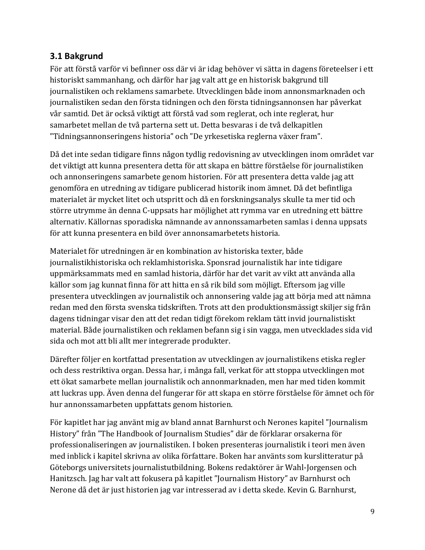#### <span id="page-8-0"></span>**3.1 Bakgrund**

För att förstå varför vi befinner oss där vi är idag behöver vi sätta in dagens företeelser i ett historiskt sammanhang, och därför har jag valt att ge en historisk bakgrund till journalistiken och reklamens samarbete. Utvecklingen både inom annonsmarknaden och journalistiken sedan den första tidningen och den första tidningsannonsen har påverkat vår samtid. Det är också viktigt att förstå vad som reglerat, och inte reglerat, hur samarbetet mellan de två parterna sett ut. Detta besvaras i de två delkapitlen "Tidningsannonseringens historia" och "De yrkesetiska reglerna växer fram".

Då det inte sedan tidigare finns någon tydlig redovisning av utvecklingen inom området var det viktigt att kunna presentera detta för att skapa en bättre förståelse för journalistiken och annonseringens samarbete genom historien. För att presentera detta valde jag att genomföra en utredning av tidigare publicerad historik inom ämnet. Då det befintliga materialet är mycket litet och utspritt och då en forskningsanalys skulle ta mer tid och större utrymme än denna C-uppsats har möjlighet att rymma var en utredning ett bättre alternativ. Källornas sporadiska nämnande av annonssamarbeten samlas i denna uppsats för att kunna presentera en bild över annonsamarbetets historia.

Materialet för utredningen är en kombination av historiska texter, både journalistikhistoriska och reklamhistoriska. Sponsrad journalistik har inte tidigare uppmärksammats med en samlad historia, därför har det varit av vikt att använda alla källor som jag kunnat finna för att hitta en så rik bild som möjligt. Eftersom jag ville presentera utvecklingen av journalistik och annonsering valde jag att börja med att nämna redan med den första svenska tidskriften. Trots att den produktionsmässigt skiljer sig från dagens tidningar visar den att det redan tidigt förekom reklam tätt invid journalistiskt material. Både journalistiken och reklamen befann sig i sin vagga, men utvecklades sida vid sida och mot att bli allt mer integrerade produkter.

Därefter följer en kortfattad presentation av utvecklingen av journalistikens etiska regler och dess restriktiva organ. Dessa har, i många fall, verkat för att stoppa utvecklingen mot ett ökat samarbete mellan journalistik och annonmarknaden, men har med tiden kommit att luckras upp. Även denna del fungerar för att skapa en större förståelse för ämnet och för hur annonssamarbeten uppfattats genom historien.

För kapitlet har jag använt mig av bland annat Barnhurst och Nerones kapitel "Journalism History" från "The Handbook of Journalism Studies" där de förklarar orsakerna för professionaliseringen av journalistiken. I boken presenteras journalistik i teori men även med inblick i kapitel skrivna av olika författare. Boken har använts som kurslitteratur på Göteborgs universitets journalistutbildning. Bokens redaktörer är Wahl-Jorgensen och Hanitzsch. Jag har valt att fokusera på kapitlet "Journalism History" av Barnhurst och Nerone då det är just historien jag var intresserad av i detta skede. Kevin G. Barnhurst,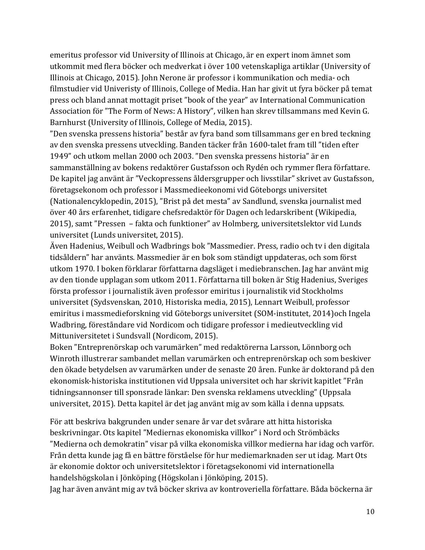emeritus professor vid University of Illinois at Chicago, är en expert inom ämnet som utkommit med flera böcker och medverkat i över 100 vetenskapliga artiklar (University of Illinois at Chicago, 2015). John Nerone är professor i kommunikation och media- och filmstudier vid Univeristy of Illinois, College of Media. Han har givit ut fyra böcker på temat press och bland annat mottagit priset "book of the year" av International Communication Association för "The Form of News: A History", vilken han skrev tillsammans med Kevin G. Barnhurst (University of Illinois, College of Media, 2015).

"Den svenska pressens historia" består av fyra band som tillsammans ger en bred teckning av den svenska pressens utveckling. Banden täcker från 1600-talet fram till "tiden efter 1949" och utkom mellan 2000 och 2003. "Den svenska pressens historia" är en sammanställning av bokens redaktörer Gustafsson och Rydén och rymmer flera författare. De kapitel jag använt är "Veckopressens åldersgrupper och livsstilar" skrivet av Gustafsson, företagsekonom och professor i Massmedieekonomi vid Göteborgs universitet (Nationalencyklopedin, 2015), "Brist på det mesta" av Sandlund, svenska journalist med över 40 års erfarenhet, tidigare chefsredaktör för Dagen och ledarskribent (Wikipedia, 2015), samt "Pressen – fakta och funktioner" av Holmberg, universitetslektor vid Lunds universitet (Lunds universitet, 2015).

Även Hadenius, Weibull och Wadbrings bok "Massmedier. Press, radio och tv i den digitala tidsåldern" har använts. Massmedier är en bok som ständigt uppdateras, och som först utkom 1970. I boken förklarar författarna dagsläget i mediebranschen. Jag har använt mig av den tionde upplagan som utkom 2011. Författarna till boken är Stig Hadenius, Sveriges första professor i journalistik även professor emiritus i journalistik vid Stockholms universitet (Sydsvenskan, 2010, Historiska media, 2015), Lennart Weibull, professor emiritus i massmedieforskning vid Göteborgs universitet (SOM-institutet, 2014)och Ingela Wadbring, föreståndare vid Nordicom och tidigare professor i medieutveckling vid Mittuniversitetet i Sundsvall (Nordicom, 2015).

Boken "Entreprenörskap och varumärken" med redaktörerna Larsson, Lönnborg och Winroth illustrerar sambandet mellan varumärken och entreprenörskap och som beskiver den ökade betydelsen av varumärken under de senaste 20 åren. Funke är doktorand på den ekonomisk-historiska institutionen vid Uppsala universitet och har skrivit kapitlet "Från tidningsannonser till sponsrade länkar: Den svenska reklamens utveckling" (Uppsala universitet, 2015). Detta kapitel är det jag använt mig av som källa i denna uppsats.

För att beskriva bakgrunden under senare år var det svårare att hitta historiska beskrivningar. Ots kapitel "Mediernas ekonomiska villkor" i Nord och Strömbäcks "Medierna och demokratin" visar på vilka ekonomiska villkor medierna har idag och varför. Från detta kunde jag få en bättre förståelse för hur mediemarknaden ser ut idag. Mart Ots är ekonomie doktor och universitetslektor i företagsekonomi vid internationella handelshögskolan i Jönköping (Högskolan i Jönköping, 2015).

Jag har även använt mig av två böcker skriva av kontroveriella författare. Båda böckerna är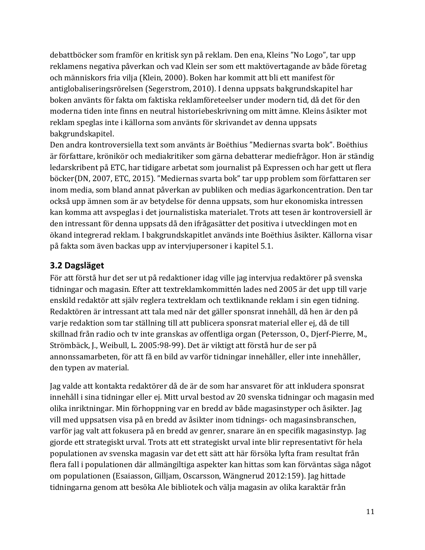debattböcker som framför en kritisk syn på reklam. Den ena, Kleins "No Logo", tar upp reklamens negativa påverkan och vad Klein ser som ett maktövertagande av både företag och människors fria vilja (Klein, 2000). Boken har kommit att bli ett manifest för antiglobaliseringsrörelsen (Segerstrom, 2010). I denna uppsats bakgrundskapitel har boken använts för fakta om faktiska reklamföreteelser under modern tid, då det för den moderna tiden inte finns en neutral historiebeskrivning om mitt ämne. Kleins åsikter mot reklam speglas inte i källorna som använts för skrivandet av denna uppsats bakgrundskapitel.

Den andra kontroversiella text som använts är Boëthius "Mediernas svarta bok". Boëthius är författare, krönikör och mediakritiker som gärna debatterar mediefrågor. Hon är ständig ledarskribent på ETC, har tidigare arbetat som journalist på Expressen och har gett ut flera böcker(DN, 2007, ETC, 2015). "Mediernas svarta bok" tar upp problem som författaren ser inom media, som bland annat påverkan av publiken och medias ägarkoncentration. Den tar också upp ämnen som är av betydelse för denna uppsats, som hur ekonomiska intressen kan komma att avspeglas i det journalistiska materialet. Trots att tesen är kontroversiell är den intressant för denna uppsats då den ifrågasätter det positiva i utvecklingen mot en ökand integrerad reklam. I bakgrundskapitlet används inte Boëthius åsikter. Källorna visar på fakta som även backas upp av intervjupersoner i kapitel 5.1.

### <span id="page-10-0"></span>**3.2 Dagsläget**

För att förstå hur det ser ut på redaktioner idag ville jag intervjua redaktörer på svenska tidningar och magasin. Efter att textreklamkommittén lades ned 2005 är det upp till varje enskild redaktör att själv reglera textreklam och textliknande reklam i sin egen tidning. Redaktören är intressant att tala med när det gäller sponsrat innehåll, då hen är den på varje redaktion som tar ställning till att publicera sponsrat material eller ej, då de till skillnad från radio och tv inte granskas av offentliga organ (Petersson, O., Djerf-Pierre, M., Strömbäck, J., Weibull, L. 2005:98-99). Det är viktigt att förstå hur de ser på annonssamarbeten, för att få en bild av varför tidningar innehåller, eller inte innehåller, den typen av material.

Jag valde att kontakta redaktörer då de är de som har ansvaret för att inkludera sponsrat innehåll i sina tidningar eller ej. Mitt urval bestod av 20 svenska tidningar och magasin med olika inriktningar. Min förhoppning var en bredd av både magasinstyper och åsikter. Jag vill med uppsatsen visa på en bredd av åsikter inom tidnings- och magasinsbranschen, varför jag valt att fokusera på en bredd av genrer, snarare än en specifik magasinstyp. Jag gjorde ett strategiskt urval. Trots att ett strategiskt urval inte blir representativt för hela populationen av svenska magasin var det ett sätt att här försöka lyfta fram resultat från flera fall i populationen där allmängiltiga aspekter kan hittas som kan förväntas säga något om populationen (Esaiasson, Gilljam, Oscarsson, Wängnerud 2012:159). Jag hittade tidningarna genom att besöka Ale bibliotek och välja magasin av olika karaktär från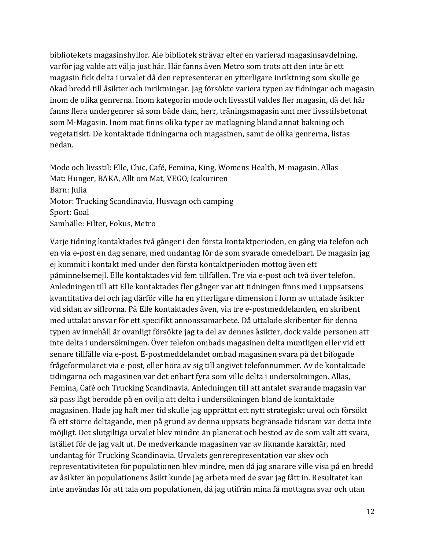bibliotekets magasinshyllor. Ale bibliotek strävar efter en varierad magasinsavdelning, varför jag valde att välja just här. Här fanns även Metro som trots att den inte är ett magasin fick delta i urvalet då den representerar en ytterligare inriktning som skulle ge ökad bredd till åsikter och inriktningar. Jag försökte variera typen av tidningar och magasin inom de olika genrerna. Inom kategorin mode och livssstil valdes fler magasin, då det här fanns flera undergenrer så som både dam, herr, träningsmagasin amt mer livsstilsbetonat som M-Magasin. Inom mat finns olika typer av matlagning bland annat bakning och vegetatiskt. De kontaktade tidningarna och magasinen, samt de olika genrerna, listas nedan.

Mode och livsstil: Elle, Chic, Café, Femina, King, Womens Health, M-magasin, Allas Mat: Hunger, BAKA, Allt om Mat, VEGO, Icakuriren Barn: Julia Motor: Trucking Scandinavia, Husvagn och camping Sport: Goal Samhälle: Filter, Fokus, Metro

Varje tidning kontaktades två gånger i den första kontaktperioden, en gång via telefon och en via e-post en dag senare, med undantag för de som svarade omedelbart. De magasin jag ej kommit i kontakt med under den första kontaktperioden mottog även ett påminnelsemejl. Elle kontaktades vid fem tillfällen. Tre via e-post och två över telefon. Anledningen till att Elle kontaktades fler gånger var att tidningen finns med i uppsatsens kvantitativa del och jag därför ville ha en ytterligare dimension i form av uttalade åsikter vid sidan av siffrorna. På Elle kontaktades även, via tre e-postmeddelanden, en skribent med uttalat ansvar för ett specifikt annonssamarbete. Då uttalade skribenter för denna typen av innehåll är ovanligt försökte jag ta del av dennes åsikter, dock valde personen att inte delta i undersökningen. Över telefon ombads magasinen delta muntligen eller vid ett senare tillfälle via e-post. E-postmeddelandet ombad magasinen svara på det bifogade frågeformuläret via e-post, eller höra av sig till angivet telefonnummer. Av de kontaktade tidingarna och magasinen var det enbart fyra som ville delta i undersökningen. Allas, Femina, Café och Trucking Scandinavia. Anledningen till att antalet svarande magasin var så pass lågt berodde på en ovilja att delta i undersökningen bland de kontaktade magasinen. Hade jag haft mer tid skulle jag upprättat ett nytt strategiskt urval och försökt få ett större deltagande, men på grund av denna uppsats begränsade tidsram var detta inte möjligt. Det slutgiltiga urvalet blev mindre än planerat och bestod av de som valt att svara, istället för de jag valt ut. De medverkande magasinen var av liknande karaktär, med undantag för Trucking Scandinavia. Urvalets genrerepresentation var skev och representativiteten för populationen blev mindre, men då jag snarare ville visa på en bredd av åsikter än populationens åsikt kunde jag arbeta med de svar jag fått in. Resultatet kan inte användas för att tala om populationen, då jag utifrån mina få mottagna svar och utan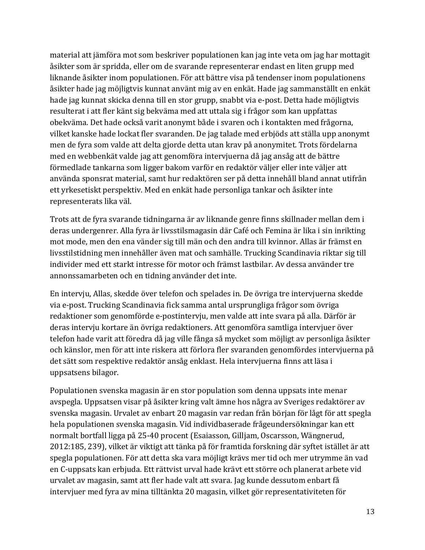material att jämföra mot som beskriver populationen kan jag inte veta om jag har mottagit åsikter som är spridda, eller om de svarande representerar endast en liten grupp med liknande åsikter inom populationen. För att bättre visa på tendenser inom populationens åsikter hade jag möjligtvis kunnat använt mig av en enkät. Hade jag sammanställt en enkät hade jag kunnat skicka denna till en stor grupp, snabbt via e-post. Detta hade möjligtvis resulterat i att fler känt sig bekväma med att uttala sig i frågor som kan uppfattas obekväma. Det hade också varit anonymt både i svaren och i kontakten med frågorna, vilket kanske hade lockat fler svaranden. De jag talade med erbjöds att ställa upp anonymt men de fyra som valde att delta gjorde detta utan krav på anonymitet. Trots fördelarna med en webbenkät valde jag att genomföra intervjuerna då jag ansåg att de bättre förmedlade tankarna som ligger bakom varför en redaktör väljer eller inte väljer att använda sponsrat material, samt hur redaktören ser på detta innehåll bland annat utifrån ett yrkesetiskt perspektiv. Med en enkät hade personliga tankar och åsikter inte representerats lika väl.

Trots att de fyra svarande tidningarna är av liknande genre finns skillnader mellan dem i deras undergenrer. Alla fyra är livsstilsmagasin där Café och Femina är lika i sin inrikting mot mode, men den ena vänder sig till män och den andra till kvinnor. Allas är främst en livsstilstidning men innehåller även mat och samhälle. Trucking Scandinavia riktar sig till individer med ett starkt intresse för motor och främst lastbilar. Av dessa använder tre annonssamarbeten och en tidning använder det inte.

En intervju, Allas, skedde över telefon och spelades in. De övriga tre intervjuerna skedde via e-post. Trucking Scandinavia fick samma antal ursprungliga frågor som övriga redaktioner som genomförde e-postintervju, men valde att inte svara på alla. Därför är deras intervju kortare än övriga redaktioners. Att genomföra samtliga intervjuer över telefon hade varit att föredra då jag ville fånga så mycket som möjligt av personliga åsikter och känslor, men för att inte riskera att förlora fler svaranden genomfördes intervjuerna på det sätt som respektive redaktör ansåg enklast. Hela intervjuerna finns att läsa i uppsatsens bilagor.

Populationen svenska magasin är en stor population som denna uppsats inte menar avspegla. Uppsatsen visar på åsikter kring valt ämne hos några av Sveriges redaktörer av svenska magasin. Urvalet av enbart 20 magasin var redan från början för lågt för att spegla hela populationen svenska magasin. Vid individbaserade frågeundersökningar kan ett normalt bortfall ligga på 25-40 procent (Esaiasson, Gilljam, Oscarsson, Wängnerud, 2012:185, 239), vilket är viktigt att tänka på för framtida forskning där syftet istället är att spegla populationen. För att detta ska vara möjligt krävs mer tid och mer utrymme än vad en C-uppsats kan erbjuda. Ett rättvist urval hade krävt ett större och planerat arbete vid urvalet av magasin, samt att fler hade valt att svara. Jag kunde dessutom enbart få intervjuer med fyra av mina tilltänkta 20 magasin, vilket gör representativiteten för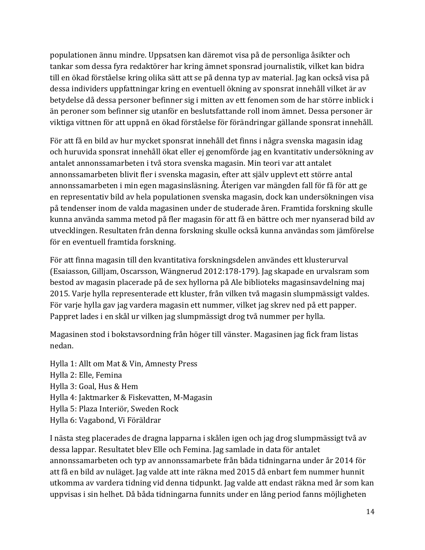populationen ännu mindre. Uppsatsen kan däremot visa på de personliga åsikter och tankar som dessa fyra redaktörer har kring ämnet sponsrad journalistik, vilket kan bidra till en ökad förståelse kring olika sätt att se på denna typ av material. Jag kan också visa på dessa individers uppfattningar kring en eventuell ökning av sponsrat innehåll vilket är av betydelse då dessa personer befinner sig i mitten av ett fenomen som de har större inblick i än peroner som befinner sig utanför en beslutsfattande roll inom ämnet. Dessa personer är viktiga vittnen för att uppnå en ökad förståelse för förändringar gällande sponsrat innehåll.

För att få en bild av hur mycket sponsrat innehåll det finns i några svenska magasin idag och huruvida sponsrat innehåll ökat eller ej genomförde jag en kvantitativ undersökning av antalet annonssamarbeten i två stora svenska magasin. Min teori var att antalet annonssamarbeten blivit fler i svenska magasin, efter att själv upplevt ett större antal annonssamarbeten i min egen magasinsläsning. Återigen var mängden fall för få för att ge en representativ bild av hela populationen svenska magasin, dock kan undersökningen visa på tendenser inom de valda magasinen under de studerade åren. Framtida forskning skulle kunna använda samma metod på fler magasin för att få en bättre och mer nyanserad bild av utvecklingen. Resultaten från denna forskning skulle också kunna användas som jämförelse för en eventuell framtida forskning.

För att finna magasin till den kvantitativa forskningsdelen användes ett klusterurval (Esaiasson, Gilljam, Oscarsson, Wängnerud 2012:178-179). Jag skapade en urvalsram som bestod av magasin placerade på de sex hyllorna på Ale biblioteks magasinsavdelning maj 2015. Varje hylla representerade ett kluster, från vilken två magasin slumpmässigt valdes. För varje hylla gav jag vardera magasin ett nummer, vilket jag skrev ned på ett papper. Pappret lades i en skål ur vilken jag slumpmässigt drog två nummer per hylla.

Magasinen stod i bokstavsordning från höger till vänster. Magasinen jag fick fram listas nedan.

Hylla 1: Allt om Mat & Vin, Amnesty Press Hylla 2: Elle, Femina Hylla 3: Goal, Hus & Hem Hylla 4: Jaktmarker & Fiskevatten, M-Magasin Hylla 5: Plaza Interiör, Sweden Rock Hylla 6: Vagabond, Vi Föräldrar

I nästa steg placerades de dragna lapparna i skålen igen och jag drog slumpmässigt två av dessa lappar. Resultatet blev Elle och Femina. Jag samlade in data för antalet annonssamarbeten och typ av annonssamarbete från båda tidningarna under år 2014 för att få en bild av nuläget. Jag valde att inte räkna med 2015 då enbart fem nummer hunnit utkomma av vardera tidning vid denna tidpunkt. Jag valde att endast räkna med år som kan uppvisas i sin helhet. Då båda tidningarna funnits under en lång period fanns möjligheten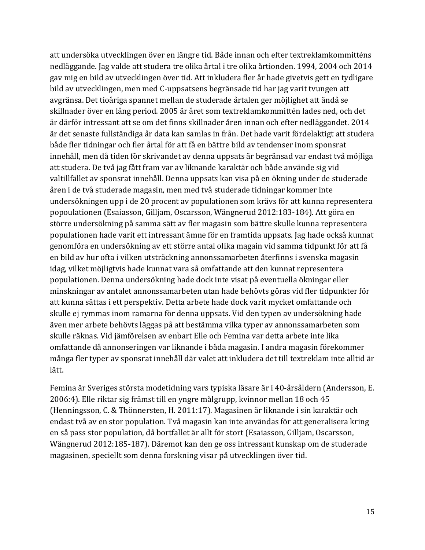att undersöka utvecklingen över en längre tid. Både innan och efter textreklamkommitténs nedläggande. Jag valde att studera tre olika årtal i tre olika årtionden. 1994, 2004 och 2014 gav mig en bild av utvecklingen över tid. Att inkludera fler år hade givetvis gett en tydligare bild av utvecklingen, men med C-uppsatsens begränsade tid har jag varit tvungen att avgränsa. Det tioåriga spannet mellan de studerade årtalen ger möjlighet att ändå se skillnader över en lång period. 2005 är året som textreklamkommittén lades ned, och det är därför intressant att se om det finns skillnader åren innan och efter nedläggandet. 2014 är det senaste fullständiga år data kan samlas in från. Det hade varit fördelaktigt att studera både fler tidningar och fler årtal för att få en bättre bild av tendenser inom sponsrat innehåll, men då tiden för skrivandet av denna uppsats är begränsad var endast två möjliga att studera. De två jag fått fram var av liknande karaktär och både använde sig vid valtillfället av sponsrat innehåll. Denna uppsats kan visa på en ökning under de studerade åren i de två studerade magasin, men med två studerade tidningar kommer inte undersökningen upp i de 20 procent av populationen som krävs för att kunna representera popoulationen (Esaiasson, Gilljam, Oscarsson, Wängnerud 2012:183-184). Att göra en större undersökning på samma sätt av fler magasin som bättre skulle kunna representera populationen hade varit ett intressant ämne för en framtida uppsats. Jag hade också kunnat genomföra en undersökning av ett större antal olika magain vid samma tidpunkt för att få en bild av hur ofta i vilken utsträckning annonssamarbeten återfinns i svenska magasin idag, vilket möjligtvis hade kunnat vara så omfattande att den kunnat representera populationen. Denna undersökning hade dock inte visat på eventuella ökningar eller minskningar av antalet annonssamarbeten utan hade behövts göras vid fler tidpunkter för att kunna sättas i ett perspektiv. Detta arbete hade dock varit mycket omfattande och skulle ej rymmas inom ramarna för denna uppsats. Vid den typen av undersökning hade även mer arbete behövts läggas på att bestämma vilka typer av annonssamarbeten som skulle räknas. Vid jämförelsen av enbart Elle och Femina var detta arbete inte lika omfattande då annonseringen var liknande i båda magasin. I andra magasin förekommer många fler typer av sponsrat innehåll där valet att inkludera det till textreklam inte alltid är lätt.

Femina är Sveriges största modetidning vars typiska läsare är i 40-årsåldern (Andersson, E. 2006:4). Elle riktar sig främst till en yngre målgrupp, kvinnor mellan 18 och 45 (Henningsson, C. & Thönnersten, H. 2011:17). Magasinen är liknande i sin karaktär och endast två av en stor population. Två magasin kan inte användas för att generalisera kring en så pass stor population, då bortfallet är allt för stort (Esaiasson, Gilljam, Oscarsson, Wängnerud 2012:185-187). Däremot kan den ge oss intressant kunskap om de studerade magasinen, speciellt som denna forskning visar på utvecklingen över tid.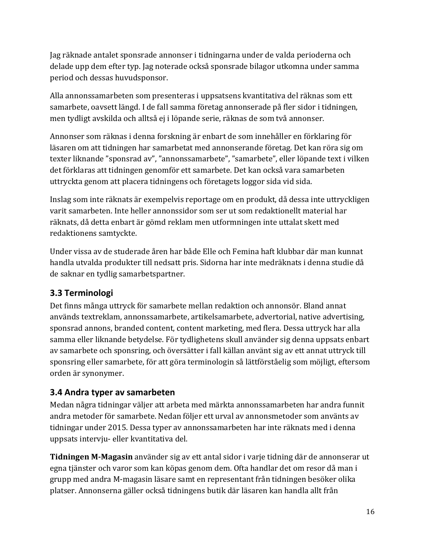Jag räknade antalet sponsrade annonser i tidningarna under de valda perioderna och delade upp dem efter typ. Jag noterade också sponsrade bilagor utkomna under samma period och dessas huvudsponsor.

Alla annonssamarbeten som presenteras i uppsatsens kvantitativa del räknas som ett samarbete, oavsett längd. I de fall samma företag annonserade på fler sidor i tidningen, men tydligt avskilda och alltså ej i löpande serie, räknas de som två annonser.

Annonser som räknas i denna forskning är enbart de som innehåller en förklaring för läsaren om att tidningen har samarbetat med annonserande företag. Det kan röra sig om texter liknande "sponsrad av", "annonssamarbete", "samarbete", eller löpande text i vilken det förklaras att tidningen genomför ett samarbete. Det kan också vara samarbeten uttryckta genom att placera tidningens och företagets loggor sida vid sida.

Inslag som inte räknats är exempelvis reportage om en produkt, då dessa inte uttryckligen varit samarbeten. Inte heller annonssidor som ser ut som redaktionellt material har räknats, då detta enbart är gömd reklam men utformningen inte uttalat skett med redaktionens samtyckte.

Under vissa av de studerade åren har både Elle och Femina haft klubbar där man kunnat handla utvalda produkter till nedsatt pris. Sidorna har inte medräknats i denna studie då de saknar en tydlig samarbetspartner.

### <span id="page-15-0"></span>**3.3 Terminologi**

Det finns många uttryck för samarbete mellan redaktion och annonsör. Bland annat används textreklam, annonssamarbete, artikelsamarbete, advertorial, native advertising, sponsrad annons, branded content, content marketing, med flera. Dessa uttryck har alla samma eller liknande betydelse. För tydlighetens skull använder sig denna uppsats enbart av samarbete och sponsring, och översätter i fall källan använt sig av ett annat uttryck till sponsring eller samarbete, för att göra terminologin så lättförståelig som möjligt, eftersom orden är synonymer.

#### <span id="page-15-1"></span>**3.4 Andra typer av samarbeten**

Medan några tidningar väljer att arbeta med märkta annonssamarbeten har andra funnit andra metoder för samarbete. Nedan följer ett urval av annonsmetoder som använts av tidningar under 2015. Dessa typer av annonssamarbeten har inte räknats med i denna uppsats intervju- eller kvantitativa del.

**Tidningen M-Magasin** använder sig av ett antal sidor i varje tidning där de annonserar ut egna tjänster och varor som kan köpas genom dem. Ofta handlar det om resor då man i grupp med andra M-magasin läsare samt en representant från tidningen besöker olika platser. Annonserna gäller också tidningens butik där läsaren kan handla allt från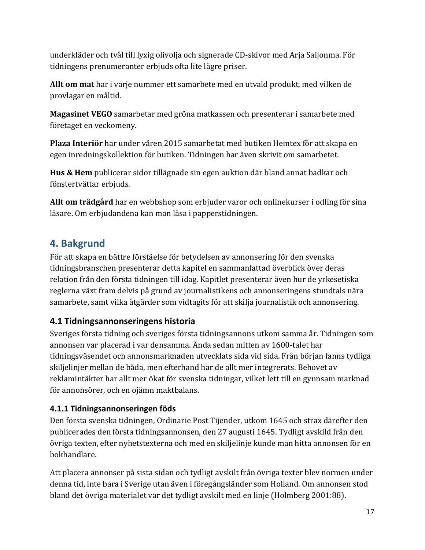underkläder och tvål till lyxig olivolja och signerade CD-skivor med Arja Saijonma. För tidningens prenumeranter erbjuds ofta lite lägre priser.

**Allt om mat** har i varje nummer ett samarbete med en utvald produkt, med vilken de provlagar en måltid.

**Magasinet VEGO** samarbetar med gröna matkassen och presenterar i samarbete med företaget en veckomeny.

**Plaza Interiör** har under våren 2015 samarbetat med butiken Hemtex för att skapa en egen inredningskollektion för butiken. Tidningen har även skrivit om samarbetet.

**Hus & Hem** publicerar sidor tillägnade sin egen auktion där bland annat badkar och fönstertvättar erbjuds.

**Allt om trädgård** har en webbshop som erbjuder varor och onlinekurser i odling för sina läsare. Om erbjudandena kan man läsa i papperstidningen.

### <span id="page-16-0"></span>**4. Bakgrund**

För att skapa en bättre förståelse för betydelsen av annonsering för den svenska tidningsbranschen presenterar detta kapitel en sammanfattad överblick över deras relation från den första tidningen till idag. Kapitlet presenterar även hur de yrkesetiska reglerna växt fram delvis på grund av journalistikens och annonseringens stundtals nära samarbete, samt vilka åtgärder som vidtagits för att skilja journalistik och annonsering.

#### <span id="page-16-1"></span>**4.1 Tidningsannonseringens historia**

Sveriges första tidning och sveriges första tidningsannons utkom samma år. Tidningen som annonsen var placerad i var densamma. Ända sedan mitten av 1600-talet har tidningsväsendet och annonsmarknaden utvecklats sida vid sida. Från början fanns tydliga skiljelinjer mellan de båda, men efterhand har de allt mer integrerats. Behovet av reklamintäkter har allt mer ökat för svenska tidningar, vilket lett till en gynnsam marknad för annonsörer, och en ojämn maktbalans.

#### <span id="page-16-2"></span>**4.1.1 Tidningsannonseringen föds**

Den första svenska tidningen, Ordinarie Post Tijender, utkom 1645 och strax därefter den publicerades den första tidningsannonsen, den 27 augusti 1645. Tydligt avskild från den övriga texten, efter nyhetstexterna och med en skiljelinje kunde man hitta annonsen för en bokhandlare.

Att placera annonser på sista sidan och tydligt avskilt från övriga texter blev normen under denna tid, inte bara i Sverige utan även i föregångsländer som Holland. Om annonsen stod bland det övriga materialet var det tydligt avskilt med en linje (Holmberg 2001:88).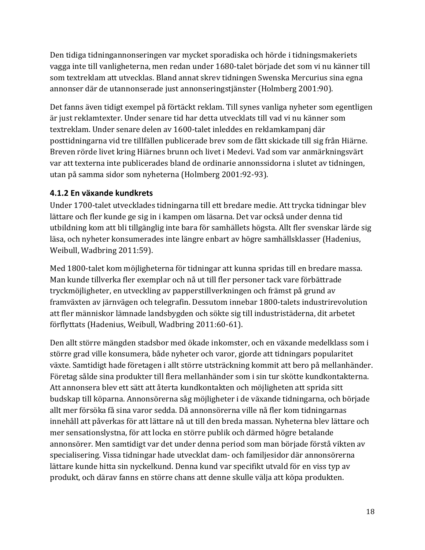Den tidiga tidningannonseringen var mycket sporadiska och hörde i tidningsmakeriets vagga inte till vanligheterna, men redan under 1680-talet började det som vi nu känner till som textreklam att utvecklas. Bland annat skrev tidningen Swenska Mercurius sina egna annonser där de utannonserade just annonseringstjänster (Holmberg 2001:90).

Det fanns även tidigt exempel på förtäckt reklam. Till synes vanliga nyheter som egentligen är just reklamtexter. Under senare tid har detta utvecklats till vad vi nu känner som textreklam. Under senare delen av 1600-talet inleddes en reklamkampanj där posttidningarna vid tre tillfällen publicerade brev som de fått skickade till sig från Hiärne. Breven rörde livet kring Hiärnes brunn och livet i Medevi. Vad som var anmärkningsvärt var att texterna inte publicerades bland de ordinarie annonssidorna i slutet av tidningen, utan på samma sidor som nyheterna (Holmberg 2001:92-93).

#### <span id="page-17-0"></span>**4.1.2 En växande kundkrets**

Under 1700-talet utvecklades tidningarna till ett bredare medie. Att trycka tidningar blev lättare och fler kunde ge sig in i kampen om läsarna. Det var också under denna tid utbildning kom att bli tillgänglig inte bara för samhällets högsta. Allt fler svenskar lärde sig läsa, och nyheter konsumerades inte längre enbart av högre samhällsklasser (Hadenius, Weibull, Wadbring 2011:59).

Med 1800-talet kom möjligheterna för tidningar att kunna spridas till en bredare massa. Man kunde tillverka fler exemplar och nå ut till fler personer tack vare förbättrade tryckmöjligheter, en utveckling av papperstillverkningen och främst på grund av framväxten av järnvägen och telegrafin. Dessutom innebar 1800-talets industrirevolution att fler människor lämnade landsbygden och sökte sig till industristäderna, dit arbetet förflyttats (Hadenius, Weibull, Wadbring 2011:60-61).

Den allt större mängden stadsbor med ökade inkomster, och en växande medelklass som i större grad ville konsumera, både nyheter och varor, gjorde att tidningars popularitet växte. Samtidigt hade företagen i allt större utsträckning kommit att bero på mellanhänder. Företag sålde sina produkter till flera mellanhänder som i sin tur skötte kundkontakterna. Att annonsera blev ett sätt att återta kundkontakten och möjligheten att sprida sitt budskap till köparna. Annonsörerna såg möjligheter i de växande tidningarna, och började allt mer försöka få sina varor sedda. Då annonsörerna ville nå fler kom tidningarnas innehåll att påverkas för att lättare nå ut till den breda massan. Nyheterna blev lättare och mer sensationslystna, för att locka en större publik och därmed högre betalande annonsörer. Men samtidigt var det under denna period som man började förstå vikten av specialisering. Vissa tidningar hade utvecklat dam- och familjesidor där annonsörerna lättare kunde hitta sin nyckelkund. Denna kund var specifikt utvald för en viss typ av produkt, och därav fanns en större chans att denne skulle välja att köpa produkten.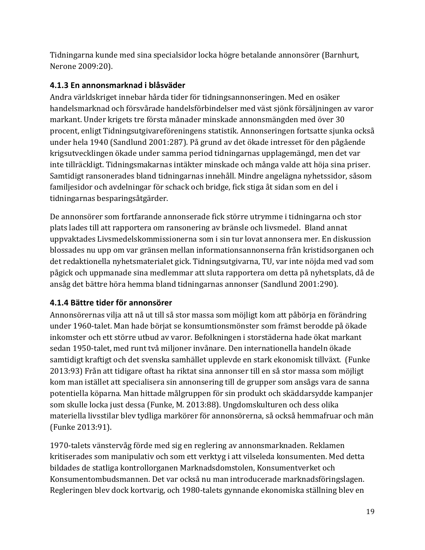Tidningarna kunde med sina specialsidor locka högre betalande annonsörer (Barnhurt, Nerone 2009:20).

#### <span id="page-18-0"></span>**4.1.3 En annonsmarknad i blåsväder**

Andra världskriget innebar hårda tider för tidningsannonseringen. Med en osäker handelsmarknad och försvårade handelsförbindelser med väst sjönk försäljningen av varor markant. Under krigets tre första månader minskade annonsmängden med över 30 procent, enligt Tidningsutgivareföreningens statistik. Annonseringen fortsatte sjunka också under hela 1940 (Sandlund 2001:287). På grund av det ökade intresset för den pågående krigsutvecklingen ökade under samma period tidningarnas upplagemängd, men det var inte tillräckligt. Tidningsmakarnas intäkter minskade och många valde att höja sina priser. Samtidigt ransonerades bland tidningarnas innehåll. Mindre angelägna nyhetssidor, såsom familjesidor och avdelningar för schack och bridge, fick stiga åt sidan som en del i tidningarnas besparingsåtgärder.

De annonsörer som fortfarande annonserade fick större utrymme i tidningarna och stor plats lades till att rapportera om ransonering av bränsle och livsmedel. Bland annat uppvaktades Livsmedelskommissionerna som i sin tur lovat annonsera mer. En diskussion blossades nu upp om var gränsen mellan informationsannonserna från kristidsorganen och det redaktionella nyhetsmaterialet gick. Tidningsutgivarna, TU, var inte nöjda med vad som pågick och uppmanade sina medlemmar att sluta rapportera om detta på nyhetsplats, då de ansåg det bättre höra hemma bland tidningarnas annonser (Sandlund 2001:290).

#### <span id="page-18-1"></span>**4.1.4 Bättre tider för annonsörer**

Annonsörernas vilja att nå ut till så stor massa som möjligt kom att påbörja en förändring under 1960-talet. Man hade börjat se konsumtionsmönster som främst berodde på ökade inkomster och ett större utbud av varor. Befolkningen i storstäderna hade ökat markant sedan 1950-talet, med runt två miljoner invånare. Den internationella handeln ökade samtidigt kraftigt och det svenska samhället upplevde en stark ekonomisk tillväxt. (Funke 2013:93) Från att tidigare oftast ha riktat sina annonser till en så stor massa som möjligt kom man istället att specialisera sin annonsering till de grupper som ansågs vara de sanna potentiella köparna. Man hittade målgruppen för sin produkt och skäddarsydde kampanjer som skulle locka just dessa (Funke, M. 2013:88). Ungdomskulturen och dess olika materiella livsstilar blev tydliga markörer för annonsörerna, så också hemmafruar och män (Funke 2013:91).

1970-talets vänstervåg förde med sig en reglering av annonsmarknaden. Reklamen kritiserades som manipulativ och som ett verktyg i att vilseleda konsumenten. Med detta bildades de statliga kontrollorganen Marknadsdomstolen, Konsumentverket och Konsumentombudsmannen. Det var också nu man introducerade marknadsföringslagen. Regleringen blev dock kortvarig, och 1980-talets gynnande ekonomiska ställning blev en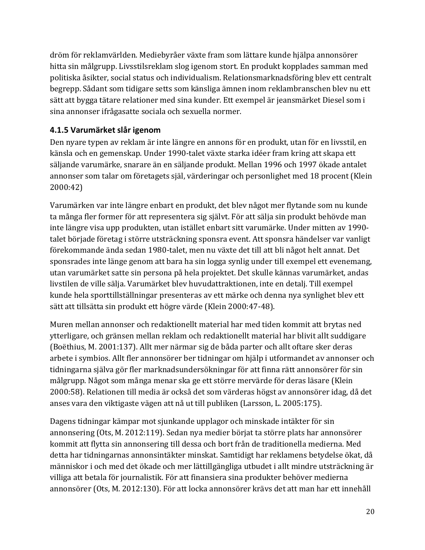dröm för reklamvärlden. Mediebyråer växte fram som lättare kunde hjälpa annonsörer hitta sin målgrupp. Livsstilsreklam slog igenom stort. En produkt kopplades samman med politiska åsikter, social status och individualism. Relationsmarknadsföring blev ett centralt begrepp. Sådant som tidigare setts som känsliga ämnen inom reklambranschen blev nu ett sätt att bygga tätare relationer med sina kunder. Ett exempel är jeansmärket Diesel som i sina annonser ifrågasatte sociala och sexuella normer.

#### <span id="page-19-0"></span>**4.1.5 Varumärket slår igenom**

Den nyare typen av reklam är inte längre en annons för en produkt, utan för en livsstil, en känsla och en gemenskap. Under 1990-talet växte starka idéer fram kring att skapa ett säljande varumärke, snarare än en säljande produkt. Mellan 1996 och 1997 ökade antalet annonser som talar om företagets själ, värderingar och personlighet med 18 procent (Klein 2000:42)

Varumärken var inte längre enbart en produkt, det blev något mer flytande som nu kunde ta många fler former för att representera sig självt. För att sälja sin produkt behövde man inte längre visa upp produkten, utan istället enbart sitt varumärke. Under mitten av 1990 talet började företag i större utsträckning sponsra event. Att sponsra händelser var vanligt förekommande ända sedan 1980-talet, men nu växte det till att bli något helt annat. Det sponsrades inte länge genom att bara ha sin logga synlig under till exempel ett evenemang, utan varumärket satte sin persona på hela projektet. Det skulle kännas varumärket, andas livstilen de ville sälja. Varumärket blev huvudattraktionen, inte en detalj. Till exempel kunde hela sporttillställningar presenteras av ett märke och denna nya synlighet blev ett sätt att tillsätta sin produkt ett högre värde (Klein 2000:47-48).

Muren mellan annonser och redaktionellt material har med tiden kommit att brytas ned ytterligare, och gränsen mellan reklam och redaktionellt material har blivit allt suddigare (Boëthius, M. 2001:137). Allt mer närmar sig de båda parter och allt oftare sker deras arbete i symbios. Allt fler annonsörer ber tidningar om hjälp i utformandet av annonser och tidningarna själva gör fler marknadsundersökningar för att finna rätt annonsörer för sin målgrupp. Något som många menar ska ge ett större mervärde för deras läsare (Klein 2000:58). Relationen till media är också det som värderas högst av annonsörer idag, då det anses vara den viktigaste vägen att nå ut till publiken (Larsson, L. 2005:175).

Dagens tidningar kämpar mot sjunkande upplagor och minskade intäkter för sin annonsering (Ots, M. 2012:119). Sedan nya medier börjat ta större plats har annonsörer kommit att flytta sin annonsering till dessa och bort från de traditionella medierna. Med detta har tidningarnas annonsintäkter minskat. Samtidigt har reklamens betydelse ökat, då människor i och med det ökade och mer lättillgängliga utbudet i allt mindre utsträckning är villiga att betala för journalistik. För att finansiera sina produkter behöver medierna annonsörer (Ots, M. 2012:130). För att locka annonsörer krävs det att man har ett innehåll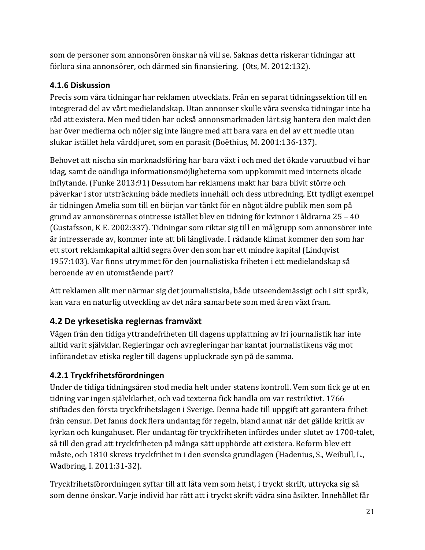som de personer som annonsören önskar nå vill se. Saknas detta riskerar tidningar att förlora sina annonsörer, och därmed sin finansiering. (Ots, M. 2012:132).

#### <span id="page-20-0"></span>**4.1.6 Diskussion**

Precis som våra tidningar har reklamen utvecklats. Från en separat tidningssektion till en integrerad del av vårt medielandskap. Utan annonser skulle våra svenska tidningar inte ha råd att existera. Men med tiden har också annonsmarknaden lärt sig hantera den makt den har över medierna och nöjer sig inte längre med att bara vara en del av ett medie utan slukar istället hela värddjuret, som en parasit (Boëthius, M. 2001:136-137).

Behovet att nischa sin marknadsföring har bara växt i och med det ökade varuutbud vi har idag, samt de oändliga informationsmöjligheterna som uppkommit med internets ökade inflytande. (Funke 2013:91) Dessutom har reklamens makt har bara blivit större och påverkar i stor utsträckning både mediets innehåll och dess utbredning. Ett tydligt exempel är tidningen Amelia som till en början var tänkt för en något äldre publik men som på grund av annonsörernas ointresse istället blev en tidning för kvinnor i åldrarna 25 – 40 (Gustafsson, K E. 2002:337). Tidningar som riktar sig till en målgrupp som annonsörer inte är intresserade av, kommer inte att bli långlivade. I rådande klimat kommer den som har ett stort reklamkapital alltid segra över den som har ett mindre kapital (Lindqvist 1957:103). Var finns utrymmet för den journalistiska friheten i ett medielandskap så beroende av en utomstående part?

Att reklamen allt mer närmar sig det journalistiska, både utseendemässigt och i sitt språk, kan vara en naturlig utveckling av det nära samarbete som med åren växt fram.

### <span id="page-20-1"></span>**4.2 De yrkesetiska reglernas framväxt**

Vägen från den tidiga yttrandefriheten till dagens uppfattning av fri journalistik har inte alltid varit självklar. Regleringar och avregleringar har kantat journalistikens väg mot införandet av etiska regler till dagens uppluckrade syn på de samma.

### <span id="page-20-2"></span>**4.2.1 Tryckfrihetsförordningen**

Under de tidiga tidningsåren stod media helt under statens kontroll. Vem som fick ge ut en tidning var ingen självklarhet, och vad texterna fick handla om var restriktivt. 1766 stiftades den första tryckfrihetslagen i Sverige. Denna hade till uppgift att garantera frihet från censur. Det fanns dock flera undantag för regeln, bland annat när det gällde kritik av kyrkan och kungahuset. Fler undantag för tryckfriheten infördes under slutet av 1700-talet, så till den grad att tryckfriheten på många sätt upphörde att existera. Reform blev ett måste, och 1810 skrevs tryckfrihet in i den svenska grundlagen (Hadenius, S., Weibull, L., Wadbring, I. 2011:31-32).

Tryckfrihetsförordningen syftar till att låta vem som helst, i tryckt skrift, uttrycka sig så som denne önskar. Varje individ har rätt att i tryckt skrift vädra sina åsikter. Innehållet får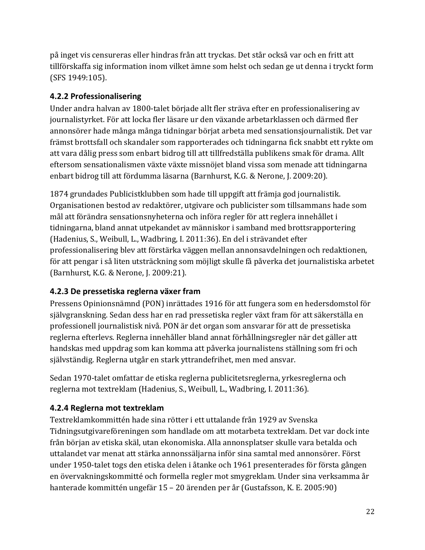på inget vis censureras eller hindras från att tryckas. Det står också var och en fritt att tillförskaffa sig information inom vilket ämne som helst och sedan ge ut denna i tryckt form (SFS 1949:105).

#### <span id="page-21-0"></span>**4.2.2 Professionalisering**

Under andra halvan av 1800-talet började allt fler sträva efter en professionalisering av journalistyrket. För att locka fler läsare ur den växande arbetarklassen och därmed fler annonsörer hade många många tidningar börjat arbeta med sensationsjournalistik. Det var främst brottsfall och skandaler som rapporterades och tidningarna fick snabbt ett rykte om att vara dålig press som enbart bidrog till att tillfredställa publikens smak för drama. Allt eftersom sensationalismen växte växte missnöjet bland vissa som menade att tidningarna enbart bidrog till att fördumma läsarna (Barnhurst, K.G. & Nerone, J. 2009:20).

1874 grundades Publicistklubben som hade till uppgift att främja god journalistik. Organisationen bestod av redaktörer, utgivare och publicister som tillsammans hade som mål att förändra sensationsnyheterna och införa regler för att reglera innehållet i tidningarna, bland annat utpekandet av människor i samband med brottsrapportering (Hadenius, S., Weibull, L., Wadbring, I. 2011:36). En del i strävandet efter professionalisering blev att förstärka väggen mellan annonsavdelningen och redaktionen, för att pengar i så liten utsträckning som möjligt skulle få påverka det journalistiska arbetet (Barnhurst, K.G. & Nerone, J. 2009:21).

#### <span id="page-21-1"></span>**4.2.3 De pressetiska reglerna växer fram**

Pressens Opinionsnämnd (PON) inrättades 1916 för att fungera som en hedersdomstol för självgranskning. Sedan dess har en rad pressetiska regler växt fram för att säkerställa en professionell journalistisk nivå. PON är det organ som ansvarar för att de pressetiska reglerna efterlevs. Reglerna innehåller bland annat förhållningsregler när det gäller att handskas med uppdrag som kan komma att påverka journalistens ställning som fri och självständig. Reglerna utgår en stark yttrandefrihet, men med ansvar.

Sedan 1970-talet omfattar de etiska reglerna publicitetsreglerna, yrkesreglerna och reglerna mot textreklam (Hadenius, S., Weibull, L., Wadbring, I. 2011:36).

#### <span id="page-21-2"></span>**4.2.4 Reglerna mot textreklam**

Textreklamkommittén hade sina rötter i ett uttalande från 1929 av Svenska Tidningsutgivareföreningen som handlade om att motarbeta textreklam. Det var dock inte från början av etiska skäl, utan ekonomiska. Alla annonsplatser skulle vara betalda och uttalandet var menat att stärka annonssäljarna inför sina samtal med annonsörer. Först under 1950-talet togs den etiska delen i åtanke och 1961 presenterades för första gången en övervakningskommitté och formella regler mot smygreklam. Under sina verksamma år hanterade kommittén ungefär 15 – 20 ärenden per år (Gustafsson, K. E. 2005:90)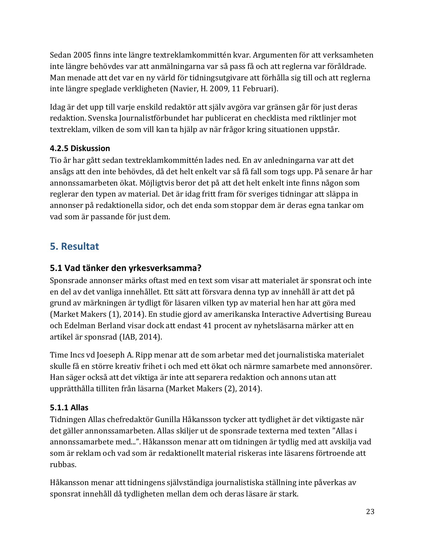Sedan 2005 finns inte längre textreklamkommittén kvar. Argumenten för att verksamheten inte längre behövdes var att anmälningarna var så pass få och att reglerna var föråldrade. Man menade att det var en ny värld för tidningsutgivare att förhålla sig till och att reglerna inte längre speglade verkligheten (Navier, H. 2009, 11 Februari).

Idag är det upp till varje enskild redaktör att själv avgöra var gränsen går för just deras redaktion. Svenska Journalistförbundet har publicerat en checklista med riktlinjer mot textreklam, vilken de som vill kan ta hjälp av när frågor kring situationen uppstår.

#### <span id="page-22-0"></span>**4.2.5 Diskussion**

Tio år har gått sedan textreklamkommittén lades ned. En av anledningarna var att det ansågs att den inte behövdes, då det helt enkelt var så få fall som togs upp. På senare år har annonssamarbeten ökat. Möjligtvis beror det på att det helt enkelt inte finns någon som reglerar den typen av material. Det är idag fritt fram för sveriges tidningar att släppa in annonser på redaktionella sidor, och det enda som stoppar dem är deras egna tankar om vad som är passande för just dem.

### <span id="page-22-1"></span>**5. Resultat**

#### <span id="page-22-2"></span>**5.1 Vad tänker den yrkesverksamma?**

Sponsrade annonser märks oftast med en text som visar att materialet är sponsrat och inte en del av det vanliga innehållet. Ett sätt att försvara denna typ av innehåll är att det på grund av märkningen är tydligt för läsaren vilken typ av material hen har att göra med (Market Makers (1), 2014). En studie gjord av amerikanska Interactive Advertising Bureau och Edelman Berland visar dock att endast 41 procent av nyhetsläsarna märker att en artikel är sponsrad (IAB, 2014).

Time Incs vd Joeseph A. Ripp menar att de som arbetar med det journalistiska materialet skulle få en större kreativ frihet i och med ett ökat och närmre samarbete med annonsörer. Han säger också att det viktiga är inte att separera redaktion och annons utan att upprätthålla tilliten från läsarna (Market Makers (2), 2014).

#### <span id="page-22-3"></span>**5.1.1 Allas**

Tidningen Allas chefredaktör Gunilla Håkansson tycker att tydlighet är det viktigaste när det gäller annonssamarbeten. Allas skiljer ut de sponsrade texterna med texten "Allas i annonssamarbete med...". Håkansson menar att om tidningen är tydlig med att avskilja vad som är reklam och vad som är redaktionellt material riskeras inte läsarens förtroende att rubbas.

Håkansson menar att tidningens självständiga journalistiska ställning inte påverkas av sponsrat innehåll då tydligheten mellan dem och deras läsare är stark.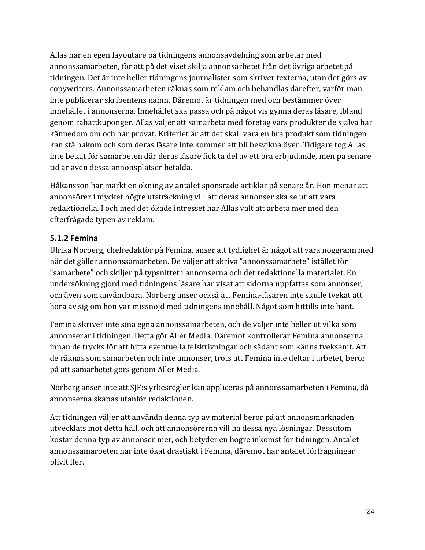Allas har en egen layoutare på tidningens annonsavdelning som arbetar med annonssamarbeten, för att på det viset skilja annonsarbetet från det övriga arbetet på tidningen. Det är inte heller tidningens journalister som skriver texterna, utan det görs av copywriters. Annonssamarbeten räknas som reklam och behandlas därefter, varför man inte publicerar skribentens namn. Däremot är tidningen med och bestämmer över innehållet i annonserna. Innehållet ska passa och på något vis gynna deras läsare, ibland genom rabattkuponger. Allas väljer att samarbeta med företag vars produkter de själva har kännedom om och har provat. Kriteriet är att det skall vara en bra produkt som tidningen kan stå bakom och som deras läsare inte kommer att bli besvikna över. Tidigare tog Allas inte betalt för samarbeten där deras läsare fick ta del av ett bra erbjudande, men på senare tid är även dessa annonsplatser betalda.

Håkansson har märkt en ökning av antalet sponsrade artiklar på senare år. Hon menar att annonsörer i mycket högre utsträckning vill att deras annonser ska se ut att vara redaktionella. I och med det ökade intresset har Allas valt att arbeta mer med den efterfrågade typen av reklam.

#### <span id="page-23-0"></span>**5.1.2 Femina**

Ulrika Norberg, chefredaktör på Femina, anser att tydlighet är något att vara noggrann med när det gäller annonssamarbeten. De väljer att skriva "annonssamarbete" istället för "samarbete" och skiljer på typsnittet i annonserna och det redaktionella materialet. En undersökning gjord med tidningens läsare har visat att sidorna uppfattas som annonser, och även som användbara. Norberg anser också att Femina-läsaren inte skulle tvekat att höra av sig om hon var missnöjd med tidningens innehåll. Något som hittills inte hänt.

Femina skriver inte sina egna annonssamarbeten, och de väljer inte heller ut vilka som annonserar i tidningen. Detta gör Aller Media. Däremot kontrollerar Femina annonserna innan de trycks för att hitta eventuella felskrivningar och sådant som känns tveksamt. Att de räknas som samarbeten och inte annonser, trots att Femina inte deltar i arbetet, beror på att samarbetet görs genom Aller Media.

Norberg anser inte att SJF:s yrkesregler kan appliceras på annonssamarbeten i Femina, då annonserna skapas utanför redaktionen.

Att tidningen väljer att använda denna typ av material beror på att annonsmarknaden utvecklats mot detta håll, och att annonsörerna vill ha dessa nya lösningar. Dessutom kostar denna typ av annonser mer, och betyder en högre inkomst för tidningen. Antalet annonssamarbeten har inte ökat drastiskt i Femina, däremot har antalet förfrågningar blivit fler.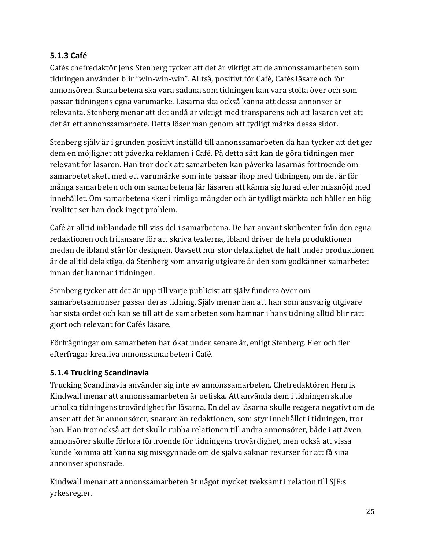#### <span id="page-24-0"></span>**5.1.3 Café**

Cafés chefredaktör Jens Stenberg tycker att det är viktigt att de annonssamarbeten som tidningen använder blir "win-win-win". Alltså, positivt för Café, Cafés läsare och för annonsören. Samarbetena ska vara sådana som tidningen kan vara stolta över och som passar tidningens egna varumärke. Läsarna ska också känna att dessa annonser är relevanta. Stenberg menar att det ändå är viktigt med transparens och att läsaren vet att det är ett annonssamarbete. Detta löser man genom att tydligt märka dessa sidor.

Stenberg själv är i grunden positivt inställd till annonssamarbeten då han tycker att det ger dem en möjlighet att påverka reklamen i Café. På detta sätt kan de göra tidningen mer relevant för läsaren. Han tror dock att samarbeten kan påverka läsarnas förtroende om samarbetet skett med ett varumärke som inte passar ihop med tidningen, om det är för många samarbeten och om samarbetena får läsaren att känna sig lurad eller missnöjd med innehållet. Om samarbetena sker i rimliga mängder och är tydligt märkta och håller en hög kvalitet ser han dock inget problem.

Café är alltid inblandade till viss del i samarbetena. De har använt skribenter från den egna redaktionen och frilansare för att skriva texterna, ibland driver de hela produktionen medan de ibland står för designen. Oavsett hur stor delaktighet de haft under produktionen är de alltid delaktiga, då Stenberg som anvarig utgivare är den som godkänner samarbetet innan det hamnar i tidningen.

Stenberg tycker att det är upp till varje publicist att själv fundera över om samarbetsannonser passar deras tidning. Själv menar han att han som ansvarig utgivare har sista ordet och kan se till att de samarbeten som hamnar i hans tidning alltid blir rätt gjort och relevant för Cafés läsare.

Förfrågningar om samarbeten har ökat under senare år, enligt Stenberg. Fler och fler efterfrågar kreativa annonssamarbeten i Café.

#### <span id="page-24-1"></span>**5.1.4 Trucking Scandinavia**

Trucking Scandinavia använder sig inte av annonssamarbeten. Chefredaktören Henrik Kindwall menar att annonssamarbeten är oetiska. Att använda dem i tidningen skulle urholka tidningens trovärdighet för läsarna. En del av läsarna skulle reagera negativt om de anser att det är annonsörer, snarare än redaktionen, som styr innehållet i tidningen, tror han. Han tror också att det skulle rubba relationen till andra annonsörer, både i att även annonsörer skulle förlora förtroende för tidningens trovärdighet, men också att vissa kunde komma att känna sig missgynnade om de själva saknar resurser för att få sina annonser sponsrade.

Kindwall menar att annonssamarbeten är något mycket tveksamt i relation till SJF:s yrkesregler.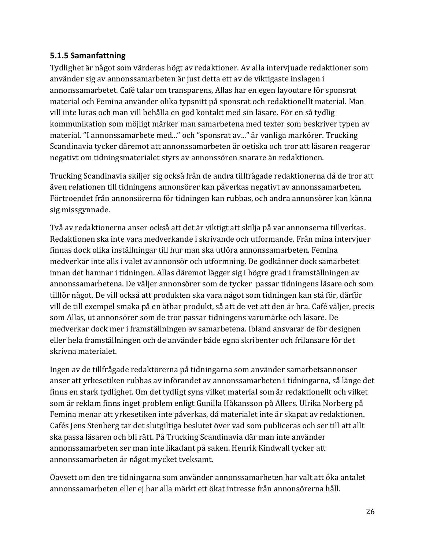#### <span id="page-25-0"></span>**5.1.5 Samanfattning**

Tydlighet är något som värderas högt av redaktioner. Av alla intervjuade redaktioner som använder sig av annonssamarbeten är just detta ett av de viktigaste inslagen i annonssamarbetet. Café talar om transparens, Allas har en egen layoutare för sponsrat material och Femina använder olika typsnitt på sponsrat och redaktionellt material. Man vill inte luras och man vill behålla en god kontakt med sin läsare. För en så tydlig kommunikation som möjligt märker man samarbetena med texter som beskriver typen av material. "I annonssamarbete med..." och "sponsrat av..." är vanliga markörer. Trucking Scandinavia tycker däremot att annonssamarbeten är oetiska och tror att läsaren reagerar negativt om tidningsmaterialet styrs av annonssören snarare än redaktionen.

Trucking Scandinavia skiljer sig också från de andra tillfrågade redaktionerna då de tror att även relationen till tidningens annonsörer kan påverkas negativt av annonssamarbeten. Förtroendet från annonsörerna för tidningen kan rubbas, och andra annonsörer kan känna sig missgynnade.

Två av redaktionerna anser också att det är viktigt att skilja på var annonserna tillverkas. Redaktionen ska inte vara medverkande i skrivande och utformande. Från mina intervjuer finnas dock olika inställningar till hur man ska utföra annonssamarbeten. Femina medverkar inte alls i valet av annonsör och utformning. De godkänner dock samarbetet innan det hamnar i tidningen. Allas däremot lägger sig i högre grad i framställningen av annonssamarbetena. De väljer annonsörer som de tycker passar tidningens läsare och som tillför något. De vill också att produkten ska vara något som tidningen kan stå för, därför vill de till exempel smaka på en ätbar produkt, så att de vet att den är bra. Café väljer, precis som Allas, ut annonsörer som de tror passar tidningens varumärke och läsare. De medverkar dock mer i framställningen av samarbetena. Ibland ansvarar de för designen eller hela framställningen och de använder både egna skribenter och frilansare för det skrivna materialet.

Ingen av de tillfrågade redaktörerna på tidningarna som använder samarbetsannonser anser att yrkesetiken rubbas av införandet av annonssamarbeten i tidningarna, så länge det finns en stark tydlighet. Om det tydligt syns vilket material som är redaktionellt och vilket som är reklam finns inget problem enligt Gunilla Håkansson på Allers. Ulrika Norberg på Femina menar att yrkesetiken inte påverkas, då materialet inte är skapat av redaktionen. Cafés Jens Stenberg tar det slutgiltiga beslutet över vad som publiceras och ser till att allt ska passa läsaren och bli rätt. På Trucking Scandinavia där man inte använder annonssamarbeten ser man inte likadant på saken. Henrik Kindwall tycker att annonssamarbeten är något mycket tveksamt.

Oavsett om den tre tidningarna som använder annonssamarbeten har valt att öka antalet annonssamarbeten eller ej har alla märkt ett ökat intresse från annonsörerna håll.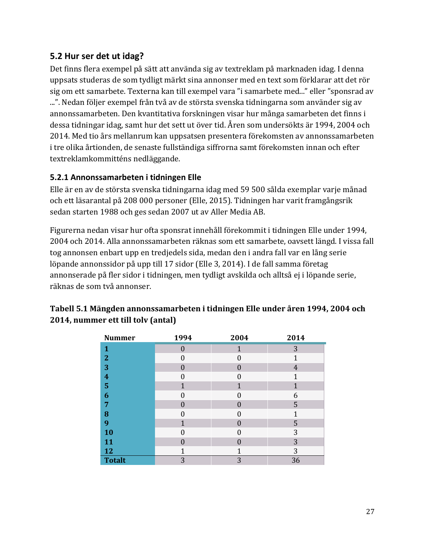#### <span id="page-26-0"></span>**5.2 Hur ser det ut idag?**

Det finns flera exempel på sätt att använda sig av textreklam på marknaden idag. I denna uppsats studeras de som tydligt märkt sina annonser med en text som förklarar att det rör sig om ett samarbete. Texterna kan till exempel vara "i samarbete med..." eller "sponsrad av ...". Nedan följer exempel från två av de största svenska tidningarna som använder sig av annonssamarbeten. Den kvantitativa forskningen visar hur många samarbeten det finns i dessa tidningar idag, samt hur det sett ut över tid. Åren som undersökts är 1994, 2004 och 2014. Med tio års mellanrum kan uppsatsen presentera förekomsten av annonssamarbeten i tre olika årtionden, de senaste fullständiga siffrorna samt förekomsten innan och efter textreklamkommitténs nedläggande.

#### <span id="page-26-1"></span>**5.2.1 Annonssamarbeten i tidningen Elle**

Elle är en av de största svenska tidningarna idag med 59 500 sålda exemplar varje månad och ett läsarantal på 208 000 personer (Elle, 2015). Tidningen har varit framgångsrik sedan starten 1988 och ges sedan 2007 ut av Aller Media AB.

Figurerna nedan visar hur ofta sponsrat innehåll förekommit i tidningen Elle under 1994, 2004 och 2014. Alla annonssamarbeten räknas som ett samarbete, oavsett längd. I vissa fall tog annonsen enbart upp en tredjedels sida, medan den i andra fall var en lång serie löpande annonssidor på upp till 17 sidor (Elle 3, 2014). I de fall samma företag annonserade på fler sidor i tidningen, men tydligt avskilda och alltså ej i löpande serie, räknas de som två annonser.

| <b>Nummer</b>           | 1994             | 2004     | 2014           |
|-------------------------|------------------|----------|----------------|
| 1                       | $\theta$         | 1        | 3              |
| $\overline{2}$          | $\Omega$         | $\Omega$ | 1              |
| 3                       | 0                | $\Omega$ | $\overline{4}$ |
| $\overline{\mathbf{4}}$ | 0                | $\Omega$ | 1              |
| 5                       |                  | 1        | 1              |
| 6                       | 0                | $\Omega$ | 6              |
| 7                       | $\left( \right)$ | 0        | 5              |
| 8                       | $\overline{0}$   | $\Omega$ | 1              |
| 9                       |                  | $\Omega$ | 5              |
| 10                      | 0                | $\Omega$ | 3              |
| 11                      | $\left( \right)$ | $\Omega$ | 3              |
| 12                      |                  | 1        | 3              |
| <b>Totalt</b>           | 3                | 3        | 36             |

#### **Tabell 5.1 Mängden annonssamarbeten i tidningen Elle under åren 1994, 2004 och 2014, nummer ett till tolv (antal)**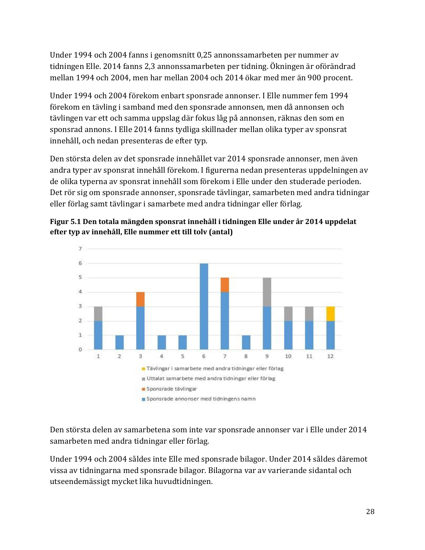Under 1994 och 2004 fanns i genomsnitt 0,25 annonssamarbeten per nummer av tidningen Elle. 2014 fanns 2,3 annonssamarbeten per tidning. Ökningen är oförändrad mellan 1994 och 2004, men har mellan 2004 och 2014 ökar med mer än 900 procent.

Under 1994 och 2004 förekom enbart sponsrade annonser. I Elle nummer fem 1994 förekom en tävling i samband med den sponsrade annonsen, men då annonsen och tävlingen var ett och samma uppslag där fokus låg på annonsen, räknas den som en sponsrad annons. I Elle 2014 fanns tydliga skillnader mellan olika typer av sponsrat innehåll, och nedan presenteras de efter typ.

Den största delen av det sponsrade innehållet var 2014 sponsrade annonser, men även andra typer av sponsrat innehåll förekom. I figurerna nedan presenteras uppdelningen av de olika typerna av sponsrat innehåll som förekom i Elle under den studerade perioden. Det rör sig om sponsrade annonser, sponsrade tävlingar, samarbeten med andra tidningar eller förlag samt tävlingar i samarbete med andra tidningar eller förlag.





Den största delen av samarbetena som inte var sponsrade annonser var i Elle under 2014 samarbeten med andra tidningar eller förlag.

Under 1994 och 2004 såldes inte Elle med sponsrade bilagor. Under 2014 såldes däremot vissa av tidningarna med sponsrade bilagor. Bilagorna var av varierande sidantal och utseendemässigt mycket lika huvudtidningen.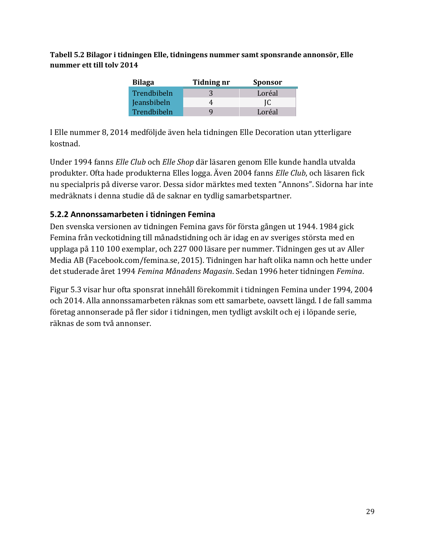**Tabell 5.2 Bilagor i tidningen Elle, tidningens nummer samt sponsrande annonsör, Elle nummer ett till tolv 2014**

| <b>Bilaga</b> | Tidning nr | <b>Sponsor</b> |
|---------------|------------|----------------|
| Trendbibeln   |            | Loréal         |
| Jeansbibeln   |            | IC             |
| Trendbibeln   |            | Loréal         |

I Elle nummer 8, 2014 medföljde även hela tidningen Elle Decoration utan ytterligare kostnad.

Under 1994 fanns *Elle Club* och *Elle Shop* där läsaren genom Elle kunde handla utvalda produkter. Ofta hade produkterna Elles logga. Även 2004 fanns *Elle Club*, och läsaren fick nu specialpris på diverse varor. Dessa sidor märktes med texten "Annons". Sidorna har inte medräknats i denna studie då de saknar en tydlig samarbetspartner.

#### <span id="page-28-0"></span>**5.2.2 Annonssamarbeten i tidningen Femina**

Den svenska versionen av tidningen Femina gavs för första gången ut 1944. 1984 gick Femina från veckotidning till månadstidning och är idag en av sveriges största med en upplaga på 110 100 exemplar, och 227 000 läsare per nummer. Tidningen ges ut av Aller Media AB (Facebook.com/femina.se, 2015). Tidningen har haft olika namn och hette under det studerade året 1994 *Femina Månadens Magasin*. Sedan 1996 heter tidningen *Femina*.

Figur 5.3 visar hur ofta sponsrat innehåll förekommit i tidningen Femina under 1994, 2004 och 2014. Alla annonssamarbeten räknas som ett samarbete, oavsett längd. I de fall samma företag annonserade på fler sidor i tidningen, men tydligt avskilt och ej i löpande serie, räknas de som två annonser.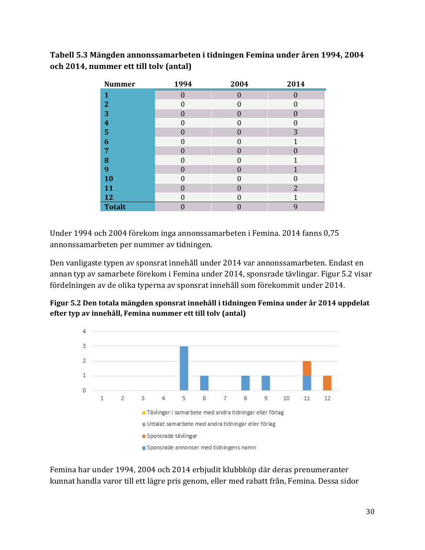#### **Tabell 5.3 Mängden annonssamarbeten i tidningen Femina under åren 1994, 2004 och 2014, nummer ett till tolv (antal)**

| <b>Nummer</b>           | 1994         | 2004     | 2014             |
|-------------------------|--------------|----------|------------------|
| 1                       | $\theta$     | $\Omega$ | $\left( \right)$ |
| $\overline{2}$          | $\Omega$     | 0        | 0                |
| 3                       | $\theta$     | $\Omega$ | $\theta$         |
| $\overline{\mathbf{4}}$ | 0            | 0        | 0                |
| 5                       | $\theta$     | $\Omega$ | 3                |
| 6                       | 0            | U        | 1                |
| 7                       | $\mathbf{0}$ | $\Omega$ | 0                |
| 8                       | 0            | U        |                  |
| 9                       | $\mathbf{0}$ | $\Omega$ | 1                |
| <b>10</b>               | 0            | 0        | 0                |
| 11                      | 0            | O        | $\overline{2}$   |
| 12                      | 0            | 0        | 1                |
| <b>Totalt</b>           |              |          | 9                |

Under 1994 och 2004 förekom inga annonssamarbeten i Femina. 2014 fanns 0,75 annonssamarbeten per nummer av tidningen.

Den vanligaste typen av sponsrat innehåll under 2014 var annonssamarbeten. Endast en annan typ av samarbete förekom i Femina under 2014, sponsrade tävlingar. Figur 5.2 visar fördelningen av de olika typerna av sponsrat innehåll som förekommit under 2014.





Femina har under 1994, 2004 och 2014 erbjudit klubbköp där deras prenumeranter kunnat handla varor till ett lägre pris genom, eller med rabatt från, Femina. Dessa sidor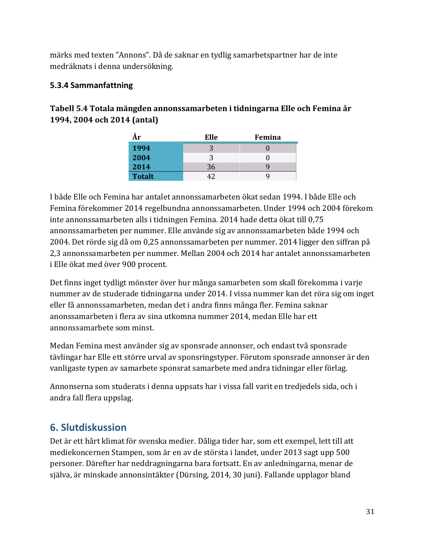märks med texten "Annons". Då de saknar en tydlig samarbetspartner har de inte medräknats i denna undersökning.

#### <span id="page-30-0"></span>**5.3.4 Sammanfattning**

#### **Tabell 5.4 Totala mängden annonssamarbeten i tidningarna Elle och Femina år 1994, 2004 och 2014 (antal)**

| År            | Elle | Femina |
|---------------|------|--------|
| 1994          |      |        |
| 2004          | 3    |        |
| 2014          | 36   |        |
| <b>Totalt</b> |      |        |

I både Elle och Femina har antalet annonssamarbeten ökat sedan 1994. I både Elle och Femina förekommer 2014 regelbundna annonssamarbeten. Under 1994 och 2004 förekom inte annonssamarbeten alls i tidningen Femina. 2014 hade detta ökat till 0,75 annonssamarbeten per nummer. Elle använde sig av annonssamarbeten både 1994 och 2004. Det rörde sig då om 0,25 annonssamarbeten per nummer. 2014 ligger den siffran på 2,3 annonssamarbeten per nummer. Mellan 2004 och 2014 har antalet annonssamarbeten i Elle ökat med över 900 procent.

Det finns inget tydligt mönster över hur många samarbeten som skall förekomma i varje nummer av de studerade tidningarna under 2014. I vissa nummer kan det röra sig om inget eller få annonssamarbeten, medan det i andra finns många fler. Femina saknar anonssamarbeten i flera av sina utkomna nummer 2014, medan Elle har ett annonssamarbete som minst.

Medan Femina mest använder sig av sponsrade annonser, och endast två sponsrade tävlingar har Elle ett större urval av sponsringstyper. Förutom sponsrade annonser är den vanligaste typen av samarbete sponsrat samarbete med andra tidningar eller förlag.

Annonserna som studerats i denna uppsats har i vissa fall varit en tredjedels sida, och i andra fall flera uppslag.

### <span id="page-30-1"></span>**6. Slutdiskussion**

Det är ett hårt klimat för svenska medier. Dåliga tider har, som ett exempel, lett till att mediekoncernen Stampen, som är en av de största i landet, under 2013 sagt upp 500 personer. Därefter har neddragningarna bara fortsatt. En av anledningarna, menar de själva, är minskade annonsintäkter (Dürsing, 2014, 30 juni). Fallande upplagor bland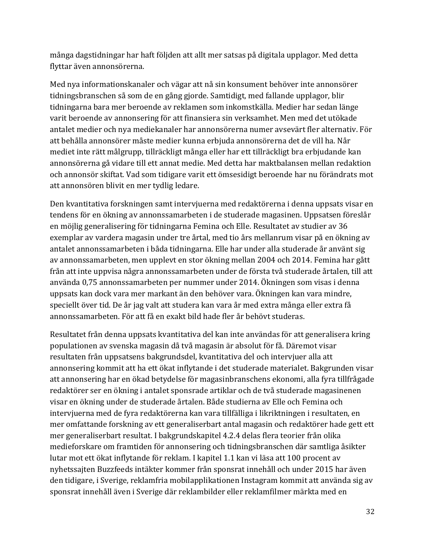många dagstidningar har haft följden att allt mer satsas på digitala upplagor. Med detta flyttar även annonsörerna.

Med nya informationskanaler och vägar att nå sin konsument behöver inte annonsörer tidningsbranschen så som de en gång gjorde. Samtidigt, med fallande upplagor, blir tidningarna bara mer beroende av reklamen som inkomstkälla. Medier har sedan länge varit beroende av annonsering för att finansiera sin verksamhet. Men med det utökade antalet medier och nya mediekanaler har annonsörerna numer avsevärt fler alternativ. För att behålla annonsörer måste medier kunna erbjuda annonsörerna det de vill ha. Når mediet inte rätt målgrupp, tillräckligt många eller har ett tillräckligt bra erbjudande kan annonsörerna gå vidare till ett annat medie. Med detta har maktbalansen mellan redaktion och annonsör skiftat. Vad som tidigare varit ett ömsesidigt beroende har nu förändrats mot att annonsören blivit en mer tydlig ledare.

Den kvantitativa forskningen samt intervjuerna med redaktörerna i denna uppsats visar en tendens för en ökning av annonssamarbeten i de studerade magasinen. Uppsatsen föreslår en möjlig generalisering för tidningarna Femina och Elle. Resultatet av studier av 36 exemplar av vardera magasin under tre årtal, med tio års mellanrum visar på en ökning av antalet annonssamarbeten i båda tidningarna. Elle har under alla studerade år använt sig av annonssamarbeten, men upplevt en stor ökning mellan 2004 och 2014. Femina har gått från att inte uppvisa några annonssamarbeten under de första två studerade årtalen, till att använda 0,75 annonssamarbeten per nummer under 2014. Ökningen som visas i denna uppsats kan dock vara mer markant än den behöver vara. Ökningen kan vara mindre, speciellt över tid. De år jag valt att studera kan vara år med extra många eller extra få annonssamarbeten. För att få en exakt bild hade fler år behövt studeras.

Resultatet från denna uppsats kvantitativa del kan inte användas för att generalisera kring populationen av svenska magasin då två magasin är absolut för få. Däremot visar resultaten från uppsatsens bakgrundsdel, kvantitativa del och intervjuer alla att annonsering kommit att ha ett ökat inflytande i det studerade materialet. Bakgrunden visar att annonsering har en ökad betydelse för magasinbranschens ekonomi, alla fyra tillfrågade redaktörer ser en ökning i antalet sponsrade artiklar och de två studerade magasinenen visar en ökning under de studerade årtalen. Både studierna av Elle och Femina och intervjuerna med de fyra redaktörerna kan vara tillfälliga i likriktningen i resultaten, en mer omfattande forskning av ett generaliserbart antal magasin och redaktörer hade gett ett mer generaliserbart resultat. I bakgrundskapitel 4.2.4 delas flera teorier från olika medieforskare om framtiden för annonsering och tidningsbranschen där samtliga åsikter lutar mot ett ökat inflytande för reklam. I kapitel 1.1 kan vi läsa att 100 procent av nyhetssajten Buzzfeeds intäkter kommer från sponsrat innehåll och under 2015 har även den tidigare, i Sverige, reklamfria mobilapplikationen Instagram kommit att använda sig av sponsrat innehåll även i Sverige där reklambilder eller reklamfilmer märkta med en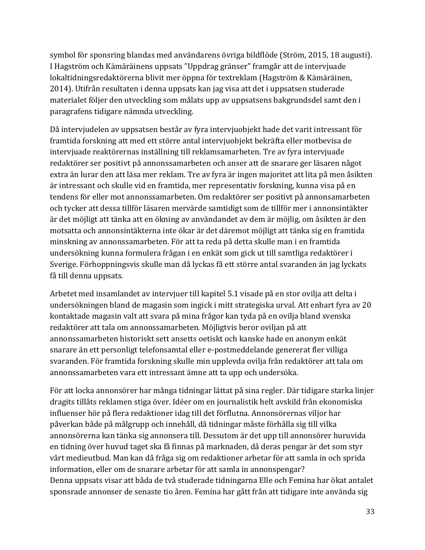symbol för sponsring blandas med användarens övriga bildflöde (Ström, 2015, 18 augusti). I Hagström och Kämäräinens uppsats "Uppdrag gränser" framgår att de intervjuade lokaltidningsredaktörerna blivit mer öppna för textreklam (Hagström & Kämäräinen, 2014). Utifrån resultaten i denna uppsats kan jag visa att det i uppsatsen studerade materialet följer den utveckling som målats upp av uppsatsens bakgrundsdel samt den i paragrafens tidigare nämnda utveckling.

Då intervjudelen av uppsatsen består av fyra intervjuobjekt hade det varit intressant för framtida forskning att med ett större antal intervjuobjekt bekräfta eller motbevisa de intervjuade reaktörernas inställning till reklamsamarbeten. Tre av fyra intervjuade redaktörer ser positivt på annonssamarbeten och anser att de snarare ger läsaren något extra än lurar den att läsa mer reklam. Tre av fyra är ingen majoritet att lita på men åsikten är intressant och skulle vid en framtida, mer representativ forskning, kunna visa på en tendens för eller mot annonssamarbeten. Om redaktörer ser positivt på annonsamarbeten och tycker att dessa tillför läsaren mervärde samtidigt som de tillför mer i annonsintäkter är det möjligt att tänka att en ökning av användandet av dem är möjlig, om åsikten är den motsatta och annonsintäkterna inte ökar är det däremot möjligt att tänka sig en framtida minskning av annonssamarbeten. För att ta reda på detta skulle man i en framtida undersökning kunna formulera frågan i en enkät som gick ut till samtliga redaktörer i Sverige. Förhoppningsvis skulle man då lyckas få ett större antal svaranden än jag lyckats få till denna uppsats.

Arbetet med insamlandet av intervjuer till kapitel 5.1 visade på en stor ovilja att delta i undersökningen bland de magasin som ingick i mitt strategiska urval. Att enbart fyra av 20 kontaktade magasin valt att svara på mina frågor kan tyda på en ovilja bland svenska redaktörer att tala om annonssamarbeten. Möjligtvis beror oviljan på att annonssamarbeten historiskt sett ansetts oetiskt och kanske hade en anonym enkät snarare än ett personligt telefonsamtal eller e-postmeddelande genererat fler villiga svaranden. För framtida forskning skulle min upplevda ovilja från redaktörer att tala om annonssamarbeten vara ett intressant ämne att ta upp och undersöka.

För att locka annonsörer har många tidningar lättat på sina regler. Där tidigare starka linjer dragits tillåts reklamen stiga över. Idéer om en journalistik helt avskild från ekonomiska influenser hör på flera redaktioner idag till det förflutna. Annonsörernas viljor har påverkan både på målgrupp och innehåll, då tidningar måste förhålla sig till vilka annonsörerna kan tänka sig annonsera till. Dessutom är det upp till annonsörer huruvida en tidning över huvud taget ska få finnas på marknaden, då deras pengar är det som styr vårt medieutbud. Man kan då fråga sig om redaktioner arbetar för att samla in och sprida information, eller om de snarare arbetar för att samla in annonspengar? Denna uppsats visar att båda de två studerade tidningarna Elle och Femina har ökat antalet sponsrade annonser de senaste tio åren. Femina har gått från att tidigare inte använda sig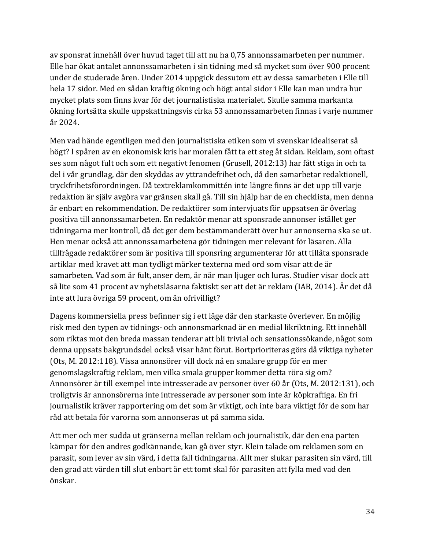av sponsrat innehåll över huvud taget till att nu ha 0,75 annonssamarbeten per nummer. Elle har ökat antalet annonssamarbeten i sin tidning med så mycket som över 900 procent under de studerade åren. Under 2014 uppgick dessutom ett av dessa samarbeten i Elle till hela 17 sidor. Med en sådan kraftig ökning och högt antal sidor i Elle kan man undra hur mycket plats som finns kvar för det journalistiska materialet. Skulle samma markanta ökning fortsätta skulle uppskattningsvis cirka 53 annonssamarbeten finnas i varje nummer år 2024.

Men vad hände egentligen med den journalistiska etiken som vi svenskar idealiserat så högt? I spåren av en ekonomisk kris har moralen fått ta ett steg åt sidan. Reklam, som oftast ses som något fult och som ett negativt fenomen (Grusell, 2012:13) har fått stiga in och ta del i vår grundlag, där den skyddas av yttrandefrihet och, då den samarbetar redaktionell, tryckfrihetsförordningen. Då textreklamkommittén inte längre finns är det upp till varje redaktion är själv avgöra var gränsen skall gå. Till sin hjälp har de en checklista, men denna är enbart en rekommendation. De redaktörer som intervjuats för uppsatsen är överlag positiva till annonssamarbeten. En redaktör menar att sponsrade annonser istället ger tidningarna mer kontroll, då det ger dem bestämmanderätt över hur annonserna ska se ut. Hen menar också att annonssamarbetena gör tidningen mer relevant för läsaren. Alla tillfrågade redaktörer som är positiva till sponsring argumenterar för att tillåta sponsrade artiklar med kravet att man tydligt märker texterna med ord som visar att de är samarbeten. Vad som är fult, anser dem, är när man ljuger och luras. Studier visar dock att så lite som 41 procent av nyhetsläsarna faktiskt ser att det är reklam (IAB, 2014). Är det då inte att lura övriga 59 procent, om än ofrivilligt?

Dagens kommersiella press befinner sig i ett läge där den starkaste överlever. En möjlig risk med den typen av tidnings- och annonsmarknad är en medial likriktning. Ett innehåll som riktas mot den breda massan tenderar att bli trivial och sensationssökande, något som denna uppsats bakgrundsdel också visar hänt förut. Bortprioriteras görs då viktiga nyheter (Ots, M. 2012:118). Vissa annonsörer vill dock nå en smalare grupp för en mer genomslagskraftig reklam, men vilka smala grupper kommer detta röra sig om? Annonsörer är till exempel inte intresserade av personer över 60 år (Ots, M. 2012:131), och troligtvis är annonsörerna inte intresserade av personer som inte är köpkraftiga. En fri journalistik kräver rapportering om det som är viktigt, och inte bara viktigt för de som har råd att betala för varorna som annonseras ut på samma sida.

Att mer och mer sudda ut gränserna mellan reklam och journalistik, där den ena parten kämpar för den andres godkännande, kan gå över styr. Klein talade om reklamen som en parasit, som lever av sin värd, i detta fall tidningarna. Allt mer slukar parasiten sin värd, till den grad att värden till slut enbart är ett tomt skal för parasiten att fylla med vad den önskar.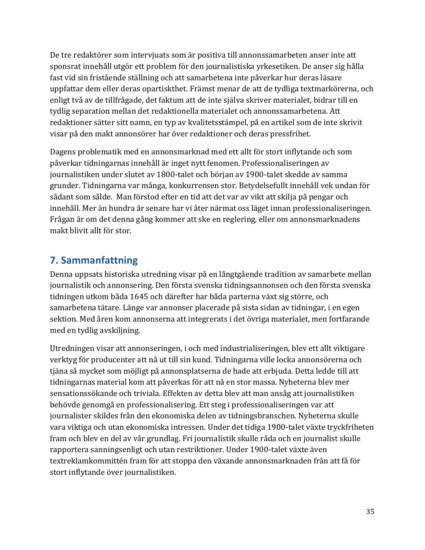De tre redaktörer som intervjuats som är positiva till annonssamarbeten anser inte att sponsrat innehåll utgör ett problem för den journalistiska yrkesetiken. De anser sig hålla fast vid sin fristående ställning och att samarbetena inte påverkar hur deras läsare uppfattar dem eller deras opartiskthet. Främst menar de att de tydliga textmarkörerna, och enligt två av de tillfrågade, det faktum att de inte själva skriver materialet, bidrar till en tydlig separation mellan det redaktionella materialet och annonssamarbetena. Att redaktioner sätter sitt namn, en typ av kvalitetsstämpel, på en artikel som de inte skrivit visar på den makt annonsörer har över redaktioner och deras pressfrihet.

Dagens problematik med en annonsmarknad med ett allt för stort inflytande och som påverkar tidningarnas innehåll är inget nytt fenomen. Professionaliseringen av journalistiken under slutet av 1800-talet och början av 1900-talet skedde av samma grunder. Tidningarna var många, konkurrensen stor. Betydelsefullt innehåll vek undan för sådant som sålde. Man förstod efter en tid att det var av vikt att skilja på pengar och innehåll. Mer än hundra år senare har vi åter närmat oss läget innan professionaliseringen. Frågan är om det denna gång kommer att ske en reglering, eller om annonsmarknadens makt blivit allt för stor.

### <span id="page-34-0"></span>**7. Sammanfattning**

Denna uppsats historiska utredning visar på en långtgående tradition av samarbete mellan journalistik och annonsering. Den första svenska tidningsannonsen och den första svenska tidningen utkom båda 1645 och därefter har båda parterna växt sig större, och samarbetena tätare. Länge var annonser placerade på sista sidan av tidningar, i en egen sektion. Med åren kom annonserna att integrerats i det övriga materialet, men fortfarande med en tydlig avskiljning.

Utredningen visar att annonseringen, i och med industrialiseringen, blev ett allt viktigare verktyg för producenter att nå ut till sin kund. Tidningarna ville locka annonsörerna och tjäna så mycket som möjligt på annonsplatserna de hade att erbjuda. Detta ledde till att tidningarnas material kom att påverkas för att nå en stor massa. Nyheterna blev mer sensationssökande och triviala. Effekten av detta blev att man ansåg att journalistiken behövde genomgå en professionalisering. Ett steg i professionaliseringen var att journalister skildes från den ekonomiska delen av tidningsbranschen. Nyheterna skulle vara viktiga och utan ekonomiska intressen. Under det tidiga 1900-talet växte tryckfriheten fram och blev en del av vår grundlag. Fri journalistik skulle råda och en journalist skulle rapportera sanningsenligt och utan restriktioner. Under 1900-talet växte även textreklamkommittén fram för att stoppa den växande annonsmarknaden från att få för stort inflytande över journalistiken.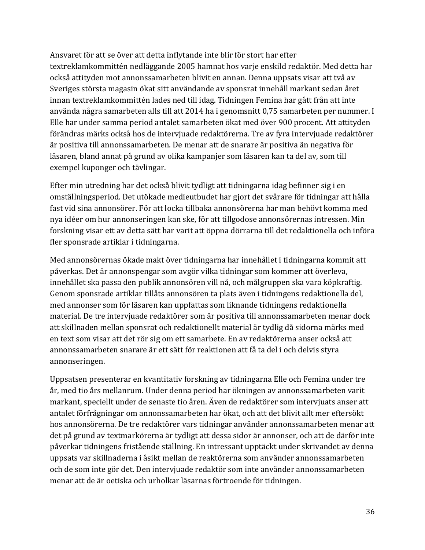Ansvaret för att se över att detta inflytande inte blir för stort har efter textreklamkommittén nedläggande 2005 hamnat hos varje enskild redaktör. Med detta har också attityden mot annonssamarbeten blivit en annan. Denna uppsats visar att två av Sveriges största magasin ökat sitt användande av sponsrat innehåll markant sedan året innan textreklamkommittén lades ned till idag. Tidningen Femina har gått från att inte använda några samarbeten alls till att 2014 ha i genomsnitt 0,75 samarbeten per nummer. I Elle har under samma period antalet samarbeten ökat med över 900 procent. Att attityden förändras märks också hos de intervjuade redaktörerna. Tre av fyra intervjuade redaktörer är positiva till annonssamarbeten. De menar att de snarare är positiva än negativa för läsaren, bland annat på grund av olika kampanjer som läsaren kan ta del av, som till exempel kuponger och tävlingar.

Efter min utredning har det också blivit tydligt att tidningarna idag befinner sig i en omställningsperiod. Det utökade medieutbudet har gjort det svårare för tidningar att hålla fast vid sina annonsörer. För att locka tillbaka annonsörerna har man behövt komma med nya idéer om hur annonseringen kan ske, för att tillgodose annonsörernas intressen. Min forskning visar ett av detta sätt har varit att öppna dörrarna till det redaktionella och införa fler sponsrade artiklar i tidningarna.

Med annonsörernas ökade makt över tidningarna har innehållet i tidningarna kommit att påverkas. Det är annonspengar som avgör vilka tidningar som kommer att överleva, innehållet ska passa den publik annonsören vill nå, och målgruppen ska vara köpkraftig. Genom sponsrade artiklar tillåts annonsören ta plats även i tidningens redaktionella del, med annonser som för läsaren kan uppfattas som liknande tidningens redaktionella material. De tre intervjuade redaktörer som är positiva till annonssamarbeten menar dock att skillnaden mellan sponsrat och redaktionellt material är tydlig då sidorna märks med en text som visar att det rör sig om ett samarbete. En av redaktörerna anser också att annonssamarbeten snarare är ett sätt för reaktionen att få ta del i och delvis styra annonseringen.

Uppsatsen presenterar en kvantitativ forskning av tidningarna Elle och Femina under tre år, med tio års mellanrum. Under denna period har ökningen av annonssamarbeten varit markant, speciellt under de senaste tio åren. Även de redaktörer som intervjuats anser att antalet förfrågningar om annonssamarbeten har ökat, och att det blivit allt mer eftersökt hos annonsörerna. De tre redaktörer vars tidningar använder annonssamarbeten menar att det på grund av textmarkörerna är tydligt att dessa sidor är annonser, och att de därför inte påverkar tidningens fristående ställning. En intressant upptäckt under skrivandet av denna uppsats var skillnaderna i åsikt mellan de reaktörerna som använder annonssamarbeten och de som inte gör det. Den intervjuade redaktör som inte använder annonssamarbeten menar att de är oetiska och urholkar läsarnas förtroende för tidningen.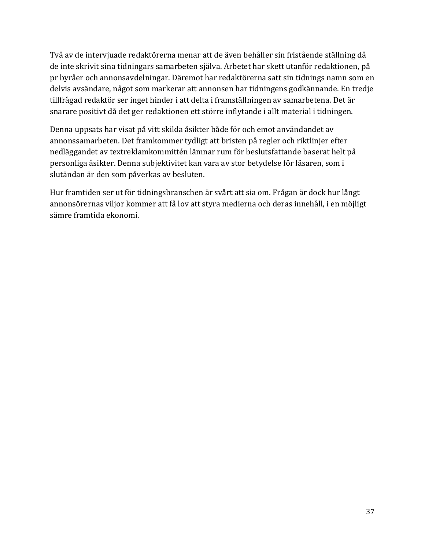Två av de intervjuade redaktörerna menar att de även behåller sin fristående ställning då de inte skrivit sina tidningars samarbeten själva. Arbetet har skett utanför redaktionen, på pr byråer och annonsavdelningar. Däremot har redaktörerna satt sin tidnings namn som en delvis avsändare, något som markerar att annonsen har tidningens godkännande. En tredje tillfrågad redaktör ser inget hinder i att delta i framställningen av samarbetena. Det är snarare positivt då det ger redaktionen ett större inflytande i allt material i tidningen.

Denna uppsats har visat på vitt skilda åsikter både för och emot användandet av annonssamarbeten. Det framkommer tydligt att bristen på regler och riktlinjer efter nedläggandet av textreklamkommittén lämnar rum för beslutsfattande baserat helt på personliga åsikter. Denna subjektivitet kan vara av stor betydelse för läsaren, som i slutändan är den som påverkas av besluten.

Hur framtiden ser ut för tidningsbranschen är svårt att sia om. Frågan är dock hur långt annonsörernas viljor kommer att få lov att styra medierna och deras innehåll, i en möjligt sämre framtida ekonomi.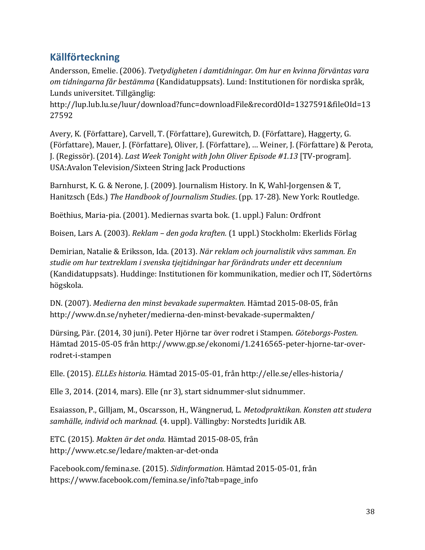### <span id="page-37-0"></span>**Källförteckning**

Andersson, Emelie. (2006). *Tvetydigheten i damtidningar. Om hur en kvinna förväntas vara om tidningarna får bestämma* (Kandidatuppsats). Lund: Institutionen för nordiska språk, Lunds universitet. Tillgänglig:

http://lup.lub.lu.se/luur/download?func=downloadFile&recordOId=1327591&fileOId=13 27592

Avery, K. (Författare), Carvell, T. (Författare), Gurewitch, D. (Författare), Haggerty, G. (Författare), Mauer, J. (Författare), Oliver, J. (Författare), … Weiner, J. (Författare) & Perota, J. (Regissör). (2014). *Last Week Tonight with John Oliver Episode #1.13* [TV-program]. USA:Avalon Television/Sixteen String Jack Productions

Barnhurst, K. G. & Nerone, J. (2009). Journalism History. In K, Wahl-Jorgensen & T, Hanitzsch (Eds.) *The Handbook of Journalism Studies*. (pp. 17-28). New York: Routledge.

Boëthius, Maria-pia. (2001). Mediernas svarta bok. (1. uppl.) Falun: Ordfront

Boisen, Lars A. (2003). *Reklam – den goda kraften.* (1 uppl.) Stockholm: Ekerlids Förlag

Demirian, Natalie & Eriksson, Ida. (2013). *När reklam och journalistik vävs samman. En studie om hur textreklam i svenska tjejtidningar har förändrats under ett decennium* (Kandidatuppsats). Huddinge: Institutionen för kommunikation, medier och IT, Södertörns högskola.

DN. (2007). *Medierna den minst bevakade supermakten.* Hämtad 2015-08-05, från http://www.dn.se/nyheter/medierna-den-minst-bevakade-supermakten/

Dürsing, Pär. (2014, 30 juni). Peter Hjörne tar över rodret i Stampen. *Göteborgs-Posten.* Hämtad 2015-05-05 från http://www.gp.se/ekonomi/1.2416565-peter-hjorne-tar-overrodret-i-stampen

Elle. (2015). *ELLEs historia.* Hämtad 2015-05-01, från http://elle.se/elles-historia/

Elle 3, 2014. (2014, mars). Elle (nr 3), start sidnummer-slut sidnummer.

Esaiasson, P., Gilljam, M., Oscarsson, H., Wängnerud, L. *Metodpraktikan. Konsten att studera samhälle, individ och marknad.* (4. uppl). Vällingby: Norstedts Juridik AB.

ETC. (2015). *Makten är det onda.* Hämtad 2015-08-05, från http://www.etc.se/ledare/makten-ar-det-onda

Facebook.com/femina.se. (2015). *Sidinformation.* Hämtad 2015-05-01, från https://www.facebook.com/femina.se/info?tab=page\_info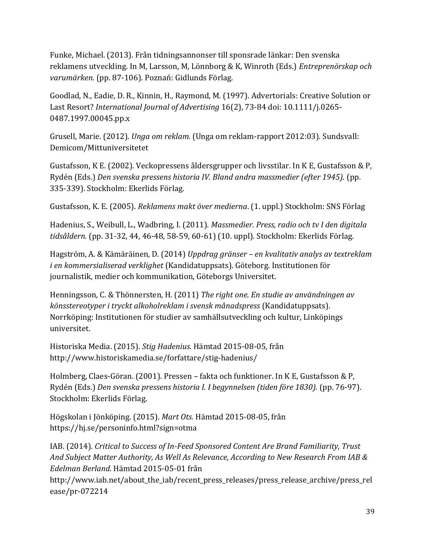Funke, Michael. (2013). Från tidningsannonser till sponsrade länkar: Den svenska reklamens utveckling. In M, Larsson, M, Lönnborg & K, Winroth (Eds.) *Entreprenörskap och varumärken.* (pp. 87-106). Poznań: Gidlunds Förlag.

Goodlad, N., Eadie, D. R., Kinnin, H., Raymond, M. (1997). Advertorials: Creative Solution or Last Resort? *International Journal of Advertising* 16(2), 73-84 doi: 10.1111/j.0265- 0487.1997.00045.pp.x

Grusell, Marie. (2012). *Unga om reklam.* (Unga om reklam-rapport 2012:03). Sundsvall: Demicom/Mittuniversitetet

Gustafsson, K E. (2002). Veckopressens åldersgrupper och livsstilar. In K E, Gustafsson & P, Rydén (Eds.) *Den svenska pressens historia IV. Bland andra massmedier (efter 1945).* (pp. 335-339). Stockholm: Ekerlids Förlag.

Gustafsson, K. E. (2005). *Reklamens makt över medierna*. (1. uppl.) Stockholm: SNS Förlag

Hadenius, S., Weibull, L., Wadbring, I. (2011). *Massmedier. Press, radio och tv I den digitala tidsåldern.* (pp. 31-32, 44, 46-48, 58-59, 60-61) (10. uppl). Stockholm: Ekerlids Förlag.

Hagström, A. & Kämäräinen, D. (2014) *Uppdrag gränser – en kvalitativ analys av textreklam i en kommersialiserad verklighet* (Kandidatuppsats). Göteborg. Institutionen för journalistik, medier och kommunikation, Göteborgs Universitet.

Henningsson, C. & Thönnersten, H. (2011) *The right one. En studie av användningen av könsstereotyper i tryckt alkoholreklam i svensk månadspress* (Kandidatuppsats). Norrköping: Institutionen för studier av samhällsutveckling och kultur, Linköpings universitet.

Historiska Media. (2015). *Stig Hadenius.* Hämtad 2015-08-05, från http://www.historiskamedia.se/forfattare/stig-hadenius/

Holmberg, Claes-Göran. (2001). Pressen – fakta och funktioner. In K E, Gustafsson & P, Rydén (Eds.) *Den svenska pressens historia I. I begynnelsen (tiden före 1830).* (pp. 76-97). Stockholm: Ekerlids Förlag.

Högskolan i Jönköping. (2015). *Mart Ots.* Hämtad 2015-08-05, från https://hj.se/personinfo.html?sign=otma

IAB. (2014). *Critical to Success of In-Feed Sponsored Content Are Brand Familiarity, Trust And Subject Matter Authority, As Well As Relevance, According to New Research From IAB & Edelman Berland.* Hämtad 2015-05-01 från

http://www.iab.net/about\_the\_iab/recent\_press\_releases/press\_release\_archive/press\_rel ease/pr-072214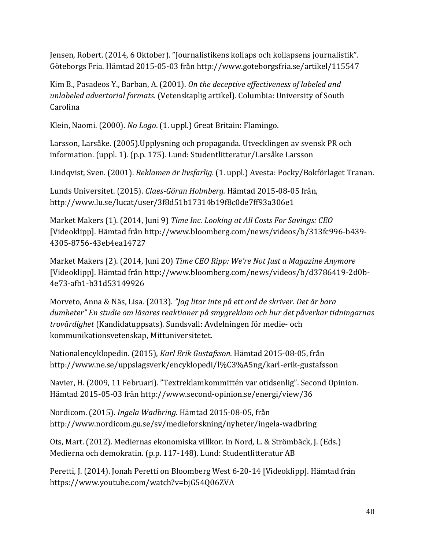Jensen, Robert. (2014, 6 Oktober). "Journalistikens kollaps och kollapsens journalistik". Göteborgs Fria. Hämtad 2015-05-03 från http://www.goteborgsfria.se/artikel/115547

Kim B., Pasadeos Y., Barban, A. (2001). *On the deceptive effectiveness of labeled and unlabeled advertorial formats.* (Vetenskaplig artikel). Columbia: University of South Carolina

Klein, Naomi. (2000). *No Logo*. (1. uppl.) Great Britain: Flamingo.

Larsson, Larsåke. (2005).Upplysning och propaganda. Utvecklingen av svensk PR och information. (uppl. 1). (p.p. 175). Lund: Studentlitteratur/Larsåke Larsson

Lindqvist, Sven. (2001). *Reklamen är livsfarlig.* (1. uppl.) Avesta: Pocky/Bokförlaget Tranan.

Lunds Universitet. (2015). *Claes-Göran Holmberg.* Hämtad 2015-08-05 från, http://www.lu.se/lucat/user/3f8d51b17314b19f8c0de7ff93a306e1

Market Makers (1). (2014, Juni 9) *Time Inc. Looking at All Costs For Savings: CEO* [Videoklipp]. Hämtad från http://www.bloomberg.com/news/videos/b/313fc996-b439- 4305-8756-43eb4ea14727

Market Makers (2). (2014, Juni 20) *Time CEO Ripp: We're Not Just a Magazine Anymore* [Videoklipp]. Hämtad från http://www.bloomberg.com/news/videos/b/d3786419-2d0b-4e73-afb1-b31d53149926

Morveto, Anna & Näs, Lisa. (2013). *"Jag litar inte på ett ord de skriver. Det är bara dumheter" En studie om läsares reaktioner på smygreklam och hur det påverkar tidningarnas trovärdighet* (Kandidatuppsats). Sundsvall: Avdelningen för medie- och kommunikationsvetenskap, Mittuniversitetet.

Nationalencyklopedin. (2015), *Karl Erik Gustafsson.* Hämtad 2015-08-05, från http://www.ne.se/uppslagsverk/encyklopedi/l%C3%A5ng/karl-erik-gustafsson

Navier, H. (2009, 11 Februari). "Textreklamkommittén var otidsenlig". Second Opinion. Hämtad 2015-05-03 från http://www.second-opinion.se/energi/view/36

Nordicom. (2015). *Ingela Wadbring.* Hämtad 2015-08-05, från http://www.nordicom.gu.se/sv/medieforskning/nyheter/ingela-wadbring

Ots, Mart. (2012). Mediernas ekonomiska villkor. In Nord, L. & Strömbäck, J. (Eds.) Medierna och demokratin. (p.p. 117-148). Lund: Studentlitteratur AB

Peretti, J. (2014). Jonah Peretti on Bloomberg West 6-20-14 [Videoklipp]. Hämtad från https://www.youtube.com/watch?v=bjG54Q06ZVA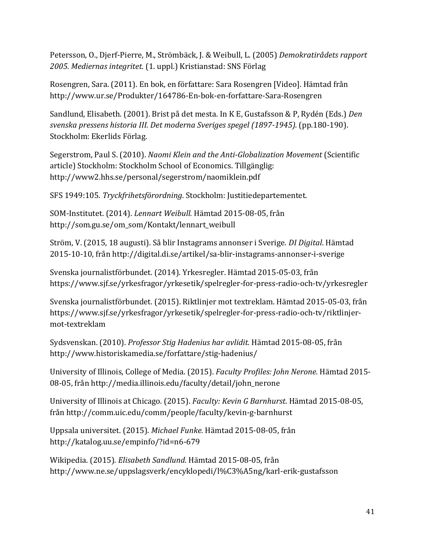Petersson, O., Djerf-Pierre, M., Strömbäck, J. & Weibull, L. (2005) *Demokratirådets rapport 2005. Mediernas integritet.* (1. uppl.) Kristianstad: SNS Förlag

Rosengren, Sara. (2011). En bok, en författare: Sara Rosengren [Video]. Hämtad från http://www.ur.se/Produkter/164786-En-bok-en-forfattare-Sara-Rosengren

Sandlund, Elisabeth. (2001). Brist på det mesta. In K E, Gustafsson & P, Rydén (Eds.) *Den svenska pressens historia III. Det moderna Sveriges spegel (1897-1945).* (pp.180-190). Stockholm: Ekerlids Förlag.

Segerstrom, Paul S. (2010). *Naomi Klein and the Anti-Globalization Movement* (Scientific article) Stockholm: Stockholm School of Economics. Tillgänglig: http://www2.hhs.se/personal/segerstrom/naomiklein.pdf

SFS 1949:105. *Tryckfrihetsförordning*. Stockholm: Justitiedepartementet.

SOM-Institutet. (2014). *Lennart Weibull.* Hämtad 2015-08-05, från http://som.gu.se/om\_som/Kontakt/lennart\_weibull

Ström, V. (2015, 18 augusti). Så blir Instagrams annonser i Sverige. *DI Digital*. Hämtad 2015-10-10, från http://digital.di.se/artikel/sa-blir-instagrams-annonser-i-sverige

Svenska journalistförbundet. (2014). Yrkesregler. Hämtad 2015-05-03, från https://www.sjf.se/yrkesfragor/yrkesetik/spelregler-for-press-radio-och-tv/yrkesregler

Svenska journalistförbundet. (2015). Riktlinjer mot textreklam. Hämtad 2015-05-03, från https://www.sjf.se/yrkesfragor/yrkesetik/spelregler-for-press-radio-och-tv/riktlinjermot-textreklam

Sydsvenskan. (2010). *Professor Stig Hadenius har avlidit.* Hämtad 2015-08-05, från http://www.historiskamedia.se/forfattare/stig-hadenius/

University of Illinois, College of Media. (2015). *Faculty Profiles: John Nerone.* Hämtad 2015- 08-05, från http://media.illinois.edu/faculty/detail/john\_nerone

University of Illinois at Chicago. (2015). *Faculty: Kevin G Barnhurst*. Hämtad 2015-08-05, från http://comm.uic.edu/comm/people/faculty/kevin-g-barnhurst

Uppsala universitet. (2015). *Michael Funke.* Hämtad 2015-08-05, från http://katalog.uu.se/empinfo/?id=n6-679

Wikipedia. (2015). *Elisabeth Sandlund.* Hämtad 2015-08-05, från http://www.ne.se/uppslagsverk/encyklopedi/l%C3%A5ng/karl-erik-gustafsson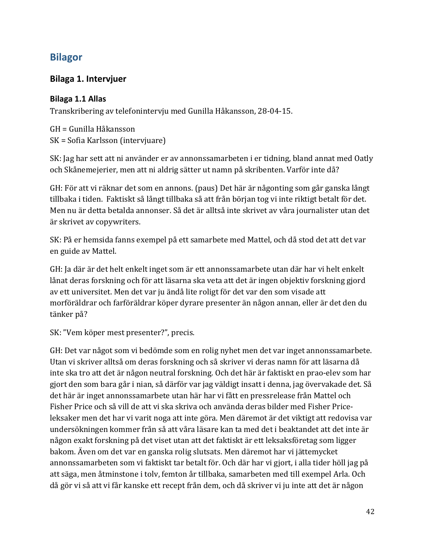### <span id="page-41-0"></span>**Bilagor**

#### <span id="page-41-1"></span>**Bilaga 1. Intervjuer**

#### <span id="page-41-2"></span>**Bilaga 1.1 Allas**

Transkribering av telefonintervju med Gunilla Håkansson, 28-04-15.

GH = Gunilla Håkansson SK = Sofia Karlsson (intervjuare)

SK: Jag har sett att ni använder er av annonssamarbeten i er tidning, bland annat med Oatly och Skånemejerier, men att ni aldrig sätter ut namn på skribenten. Varför inte då?

GH: För att vi räknar det som en annons. (paus) Det här är någonting som går ganska långt tillbaka i tiden. Faktiskt så långt tillbaka så att från början tog vi inte riktigt betalt för det. Men nu är detta betalda annonser. Så det är alltså inte skrivet av våra journalister utan det är skrivet av copywriters.

SK: På er hemsida fanns exempel på ett samarbete med Mattel, och då stod det att det var en guide av Mattel.

GH: Ja där är det helt enkelt inget som är ett annonssamarbete utan där har vi helt enkelt lånat deras forskning och för att läsarna ska veta att det är ingen objektiv forskning gjord av ett universitet. Men det var ju ändå lite roligt för det var den som visade att morföräldrar och farföräldrar köper dyrare presenter än någon annan, eller är det den du tänker på?

SK: "Vem köper mest presenter?", precis.

GH: Det var något som vi bedömde som en rolig nyhet men det var inget annonssamarbete. Utan vi skriver alltså om deras forskning och så skriver vi deras namn för att läsarna då inte ska tro att det är någon neutral forskning. Och det här är faktiskt en prao-elev som har gjort den som bara går i nian, så därför var jag väldigt insatt i denna, jag övervakade det. Så det här är inget annonssamarbete utan här har vi fått en pressrelease från Mattel och Fisher Price och så vill de att vi ska skriva och använda deras bilder med Fisher Priceleksaker men det har vi varit noga att inte göra. Men däremot är det viktigt att redovisa var undersökningen kommer från så att våra läsare kan ta med det i beaktandet att det inte är någon exakt forskning på det viset utan att det faktiskt är ett leksaksföretag som ligger bakom. Även om det var en ganska rolig slutsats. Men däremot har vi jättemycket annonssamarbeten som vi faktiskt tar betalt för. Och där har vi gjort, i alla tider höll jag på att säga, men åtminstone i tolv, femton år tillbaka, samarbeten med till exempel Arla. Och då gör vi så att vi får kanske ett recept från dem, och då skriver vi ju inte att det är någon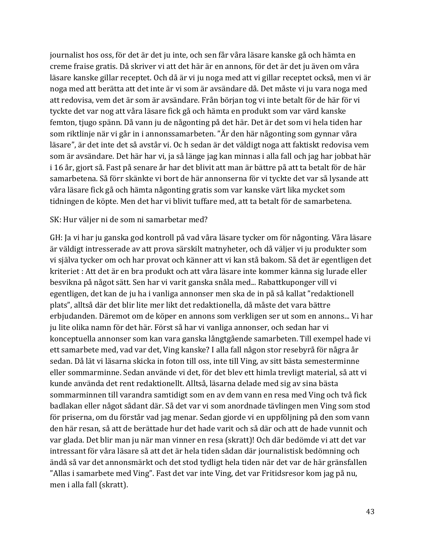journalist hos oss, för det är det ju inte, och sen får våra läsare kanske gå och hämta en creme fraise gratis. Då skriver vi att det här är en annons, för det är det ju även om våra läsare kanske gillar receptet. Och då är vi ju noga med att vi gillar receptet också, men vi är noga med att berätta att det inte är vi som är avsändare då. Det måste vi ju vara noga med att redovisa, vem det är som är avsändare. Från början tog vi inte betalt för de här för vi tyckte det var nog att våra läsare fick gå och hämta en produkt som var värd kanske femton, tjugo spänn. Då vann ju de någonting på det här. Det är det som vi hela tiden har som riktlinje när vi går in i annonssamarbeten. "Är den här någonting som gynnar våra läsare", är det inte det så avstår vi. Oc h sedan är det väldigt noga att faktiskt redovisa vem som är avsändare. Det här har vi, ja så länge jag kan minnas i alla fall och jag har jobbat här i 16 år, gjort så. Fast på senare år har det blivit att man är bättre på att ta betalt för de här samarbetena. Så förr skänkte vi bort de här annonserna för vi tyckte det var så lysande att våra läsare fick gå och hämta någonting gratis som var kanske värt lika mycket som tidningen de köpte. Men det har vi blivit tuffare med, att ta betalt för de samarbetena.

#### SK: Hur väljer ni de som ni samarbetar med?

GH: Ja vi har ju ganska god kontroll på vad våra läsare tycker om för någonting. Våra läsare är väldigt intresserade av att prova särskilt matnyheter, och då väljer vi ju produkter som vi själva tycker om och har provat och känner att vi kan stå bakom. Så det är egentligen det kriteriet : Att det är en bra produkt och att våra läsare inte kommer känna sig lurade eller besvikna på något sätt. Sen har vi varit ganska snåla med... Rabattkuponger vill vi egentligen, det kan de ju ha i vanliga annonser men ska de in på så kallat "redaktionell plats", alltså där det blir lite mer likt det redaktionella, då måste det vara bättre erbjudanden. Däremot om de köper en annons som verkligen ser ut som en annons... Vi har ju lite olika namn för det här. Först så har vi vanliga annonser, och sedan har vi konceptuella annonser som kan vara ganska långtgående samarbeten. Till exempel hade vi ett samarbete med, vad var det, Ving kanske? I alla fall någon stor resebyrå för några år sedan. Då lät vi läsarna skicka in foton till oss, inte till Ving, av sitt bästa semesterminne eller sommarminne. Sedan använde vi det, för det blev ett himla trevligt material, så att vi kunde använda det rent redaktionellt. Alltså, läsarna delade med sig av sina bästa sommarminnen till varandra samtidigt som en av dem vann en resa med Ving och två fick badlakan eller något sådant där. Så det var vi som anordnade tävlingen men Ving som stod för priserna, om du förstår vad jag menar. Sedan gjorde vi en uppföljning på den som vann den här resan, så att de berättade hur det hade varit och så där och att de hade vunnit och var glada. Det blir man ju när man vinner en resa (skratt)! Och där bedömde vi att det var intressant för våra läsare så att det är hela tiden sådan där journalistisk bedömning och ändå så var det annonsmärkt och det stod tydligt hela tiden när det var de här gränsfallen "Allas i samarbete med Ving". Fast det var inte Ving, det var Fritidsresor kom jag på nu, men i alla fall (skratt).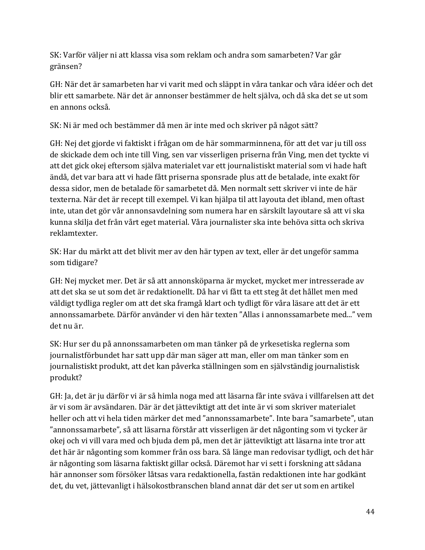SK: Varför väljer ni att klassa visa som reklam och andra som samarbeten? Var går gränsen?

GH: När det är samarbeten har vi varit med och släppt in våra tankar och våra idéer och det blir ett samarbete. När det är annonser bestämmer de helt själva, och då ska det se ut som en annons också.

SK: Ni är med och bestämmer då men är inte med och skriver på något sätt?

GH: Nej det gjorde vi faktiskt i frågan om de här sommarminnena, för att det var ju till oss de skickade dem och inte till Ving, sen var visserligen priserna från Ving, men det tyckte vi att det gick okej eftersom själva materialet var ett journalistiskt material som vi hade haft ändå, det var bara att vi hade fått priserna sponsrade plus att de betalade, inte exakt för dessa sidor, men de betalade för samarbetet då. Men normalt sett skriver vi inte de här texterna. När det är recept till exempel. Vi kan hjälpa til att layouta det ibland, men oftast inte, utan det gör vår annonsavdelning som numera har en särskilt layoutare så att vi ska kunna skilja det från vårt eget material. Våra journalister ska inte behöva sitta och skriva reklamtexter.

SK: Har du märkt att det blivit mer av den här typen av text, eller är det ungeför samma som tidigare?

GH: Nej mycket mer. Det är så att annonsköparna är mycket, mycket mer intresserade av att det ska se ut som det är redaktionellt. Då har vi fått ta ett steg åt det hållet men med väldigt tydliga regler om att det ska framgå klart och tydligt för våra läsare att det är ett annonssamarbete. Därför använder vi den här texten "Allas i annonssamarbete med..." vem det nu är.

SK: Hur ser du på annonssamarbeten om man tänker på de yrkesetiska reglerna som journalistförbundet har satt upp där man säger att man, eller om man tänker som en journalistiskt produkt, att det kan påverka ställningen som en självständig journalistisk produkt?

GH: Ja, det är ju därför vi är så himla noga med att läsarna får inte sväva i villfarelsen att det är vi som är avsändaren. Där är det jätteviktigt att det inte är vi som skriver materialet heller och att vi hela tiden märker det med "annonssamarbete". Inte bara "samarbete", utan "annonssamarbete", så att läsarna förstår att visserligen är det någonting som vi tycker är okej och vi vill vara med och bjuda dem på, men det är jätteviktigt att läsarna inte tror att det här är någonting som kommer från oss bara. Så länge man redovisar tydligt, och det här är någonting som läsarna faktiskt gillar också. Däremot har vi sett i forskning att sådana här annonser som försöker låtsas vara redaktionella, fastän redaktionen inte har godkänt det, du vet, jättevanligt i hälsokostbranschen bland annat där det ser ut som en artikel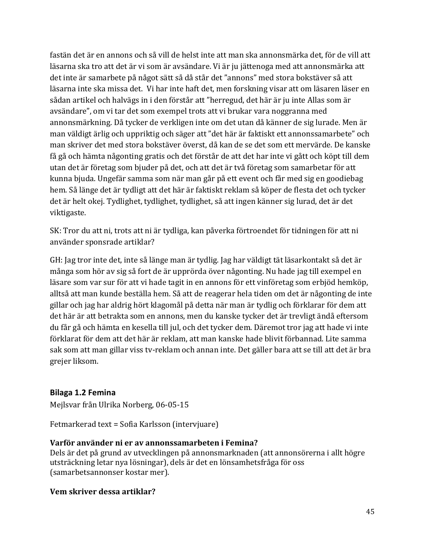fastän det är en annons och så vill de helst inte att man ska annonsmärka det, för de vill att läsarna ska tro att det är vi som är avsändare. Vi är ju jättenoga med att annonsmärka att det inte är samarbete på något sätt så då står det "annons" med stora bokstäver så att läsarna inte ska missa det. Vi har inte haft det, men forskning visar att om läsaren läser en sådan artikel och halvägs in i den förstår att "herregud, det här är ju inte Allas som är avsändare", om vi tar det som exempel trots att vi brukar vara noggranna med annonsmärkning. Då tycker de verkligen inte om det utan då känner de sig lurade. Men är man väldigt ärlig och uppriktig och säger att "det här är faktiskt ett annonssamarbete" och man skriver det med stora bokstäver överst, då kan de se det som ett mervärde. De kanske få gå och hämta någonting gratis och det förstår de att det har inte vi gått och köpt till dem utan det är företag som bjuder på det, och att det är två företag som samarbetar för att kunna bjuda. Ungefär samma som när man går på ett event och får med sig en goodiebag hem. Så länge det är tydligt att det här är faktiskt reklam så köper de flesta det och tycker det är helt okej. Tydlighet, tydlighet, tydlighet, så att ingen känner sig lurad, det är det viktigaste.

SK: Tror du att ni, trots att ni är tydliga, kan påverka förtroendet för tidningen för att ni använder sponsrade artiklar?

GH: Jag tror inte det, inte så länge man är tydlig. Jag har väldigt tät läsarkontakt så det är många som hör av sig så fort de är upprörda över någonting. Nu hade jag till exempel en läsare som var sur för att vi hade tagit in en annons för ett vinföretag som erbjöd hemköp, alltså att man kunde beställa hem. Så att de reagerar hela tiden om det är någonting de inte gillar och jag har aldrig hört klagomål på detta när man är tydlig och förklarar för dem att det här är att betrakta som en annons, men du kanske tycker det är trevligt ändå eftersom du får gå och hämta en kesella till jul, och det tycker dem. Däremot tror jag att hade vi inte förklarat för dem att det här är reklam, att man kanske hade blivit förbannad. Lite samma sak som att man gillar viss tv-reklam och annan inte. Det gäller bara att se till att det är bra grejer liksom.

#### <span id="page-44-0"></span>**Bilaga 1.2 Femina**

Mejlsvar från Ulrika Norberg, 06-05-15

Fetmarkerad text = Sofia Karlsson (intervjuare)

#### **Varför använder ni er av annonssamarbeten i Femina?**

Dels är det på grund av utvecklingen på annonsmarknaden (att annonsörerna i allt högre utsträckning letar nya lösningar), dels är det en lönsamhetsfråga för oss (samarbetsannonser kostar mer).

#### **Vem skriver dessa artiklar?**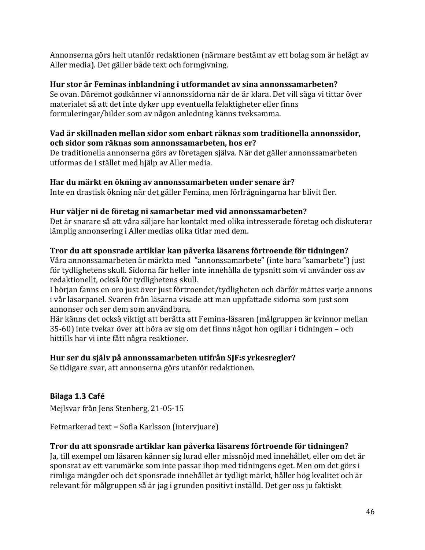Annonserna görs helt utanför redaktionen (närmare bestämt av ett bolag som är helägt av Aller media). Det gäller både text och formgivning.

#### **Hur stor är Feminas inblandning i utformandet av sina annonssamarbeten?**

Se ovan. Däremot godkänner vi annonssidorna när de är klara. Det vill säga vi tittar över materialet så att det inte dyker upp eventuella felaktigheter eller finns formuleringar/bilder som av någon anledning känns tveksamma.

#### **Vad är skillnaden mellan sidor som enbart räknas som traditionella annonssidor, och sidor som räknas som annonssamarbeten, hos er?**

De traditionella annonserna görs av företagen själva. När det gäller annonssamarbeten utformas de i stället med hjälp av Aller media.

#### **Har du märkt en ökning av annonssamarbeten under senare år?**

Inte en drastisk ökning när det gäller Femina, men förfrågningarna har blivit fler.

#### **Hur väljer ni de företag ni samarbetar med vid annonssamarbeten?**

Det är snarare så att våra säljare har kontakt med olika intresserade företag och diskuterar lämplig annonsering i Aller medias olika titlar med dem.

#### **Tror du att sponsrade artiklar kan påverka läsarens förtroende för tidningen?**

Våra annonssamarbeten är märkta med "annonssamarbete" (inte bara "samarbete") just för tydlighetens skull. Sidorna får heller inte innehålla de typsnitt som vi använder oss av redaktionellt, också för tydlighetens skull.

I början fanns en oro just över just förtroendet/tydligheten och därför mättes varje annons i vår läsarpanel. Svaren från läsarna visade att man uppfattade sidorna som just som annonser och ser dem som användbara.

Här känns det också viktigt att berätta att Femina-läsaren (målgruppen är kvinnor mellan 35-60) inte tvekar över att höra av sig om det finns något hon ogillar i tidningen – och hittills har vi inte fått några reaktioner.

#### **Hur ser du själv på annonssamarbeten utifrån SJF:s yrkesregler?**

Se tidigare svar, att annonserna görs utanför redaktionen.

#### <span id="page-45-0"></span>**Bilaga 1.3 Café**

Mejlsvar från Jens Stenberg, 21-05-15

Fetmarkerad text = Sofia Karlsson (intervjuare)

#### **Tror du att sponsrade artiklar kan påverka läsarens förtroende för tidningen?**

Ja, till exempel om läsaren känner sig lurad eller missnöjd med innehållet, eller om det är sponsrat av ett varumärke som inte passar ihop med tidningens eget. Men om det görs i rimliga mängder och det sponsrade innehållet är tydligt märkt, håller hög kvalitet och är relevant för målgruppen så är jag i grunden positivt inställd. Det ger oss ju faktiskt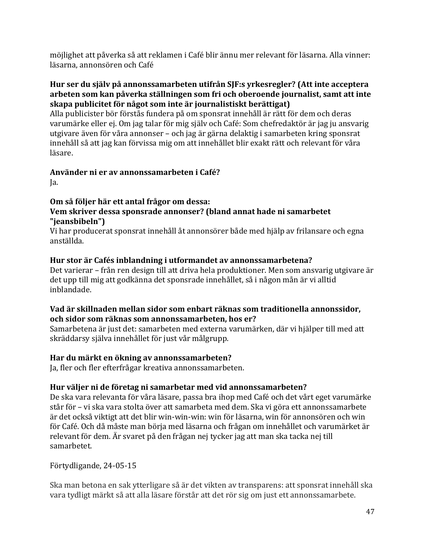möjlighet att påverka så att reklamen i Café blir ännu mer relevant för läsarna. Alla vinner: läsarna, annonsören och Café

#### **Hur ser du själv på annonssamarbeten utifrån SJF:s yrkesregler? (Att inte acceptera arbeten som kan påverka ställningen som fri och oberoende journalist, samt att inte skapa publicitet för något som inte är journalistiskt berättigat)**

Alla publicister bör förstås fundera på om sponsrat innehåll är rätt för dem och deras varumärke eller ej. Om jag talar för mig själv och Café: Som chefredaktör är jag ju ansvarig utgivare även för våra annonser – och jag är gärna delaktig i samarbeten kring sponsrat innehåll så att jag kan förvissa mig om att innehållet blir exakt rätt och relevant för våra läsare.

## **Använder ni er av annonssamarbeten i Café?**

Ja.

#### **Om så följer här ett antal frågor om dessa: Vem skriver dessa sponsrade annonser? (bland annat hade ni samarbetet "jeansbibeln")**

Vi har producerat sponsrat innehåll åt annonsörer både med hjälp av frilansare och egna anställda.

#### **Hur stor är Cafés inblandning i utformandet av annonssamarbetena?**

Det varierar – från ren design till att driva hela produktioner. Men som ansvarig utgivare är det upp till mig att godkänna det sponsrade innehållet, så i någon mån är vi alltid inblandade.

#### **Vad är skillnaden mellan sidor som enbart räknas som traditionella annonssidor, och sidor som räknas som annonssamarbeten, hos er?**

Samarbetena är just det: samarbeten med externa varumärken, där vi hjälper till med att skräddarsy själva innehållet för just vår målgrupp.

#### **Har du märkt en ökning av annonssamarbeten?**

Ja, fler och fler efterfrågar kreativa annonssamarbeten.

#### **Hur väljer ni de företag ni samarbetar med vid annonssamarbeten?**

De ska vara relevanta för våra läsare, passa bra ihop med Café och det vårt eget varumärke står för – vi ska vara stolta över att samarbeta med dem. Ska vi göra ett annonssamarbete är det också viktigt att det blir win-win-win: win för läsarna, win för annonsören och win för Café. Och då måste man börja med läsarna och frågan om innehållet och varumärket är relevant för dem. Är svaret på den frågan nej tycker jag att man ska tacka nej till samarbetet.

Förtydligande, 24-05-15

Ska man betona en sak ytterligare så är det vikten av transparens: att sponsrat innehåll ska vara tydligt märkt så att alla läsare förstår att det rör sig om just ett annonssamarbete.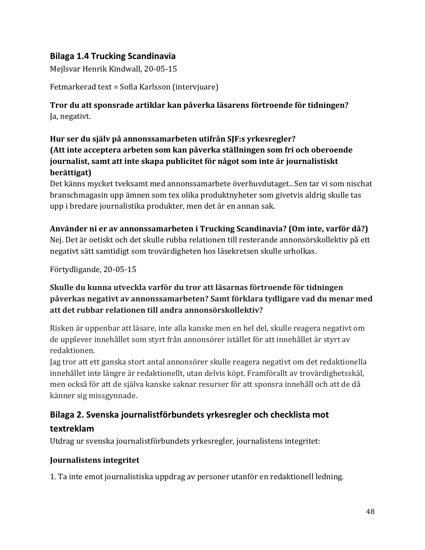#### <span id="page-47-0"></span>**Bilaga 1.4 Trucking Scandinavia**

Mejlsvar Henrik Kindwall, 20-05-15

Fetmarkerad text = Sofia Karlsson (intervjuare)

#### **Tror du att sponsrade artiklar kan påverka läsarens förtroende för tidningen?** Ja, negativt.

#### **Hur ser du själv på annonssamarbeten utifrån SJF:s yrkesregler? (Att inte acceptera arbeten som kan påverka ställningen som fri och oberoende journalist, samt att inte skapa publicitet för något som inte är journalistiskt berättigat)**

Det känns mycket tveksamt med annonssamarbete överhuvdutaget.. Sen tar vi som nischat branschmagasin upp ämnen som tex olika produktnyheter som givetvis aldrig skulle tas upp i bredare journalistika produkter, men det är en annan sak.

#### **Använder ni er av annonssamarbeten i Trucking Scandinavia? (Om inte, varför då?)**

Nej. Det är oetiskt och det skulle rubba relationen till resterande annonsörskollektiv på ett negativt sätt samtidigt som trovärdigheten hos läsekretsen skulle urholkas.

Förtydligande, 20-05-15

#### **Skulle du kunna utveckla varför du tror att läsarnas förtroende för tidningen påverkas negativt av annonssamarbeten? Samt förklara tydligare vad du menar med att det rubbar relationen till andra annonsörskollektiv?**

Risken är uppenbar att läsare, inte alla kanske men en hel del, skulle reagera negativt om de upplever innehållet som styrt från annonsörer istället för att innehållet är styrt av redaktionen.

Jag tror att ett ganska stort antal annonsörer skulle reagera negativt om det redaktionella innehållet inte längre är redaktionellt, utan delvis köpt. Framförallt av trovärdighetsskäl, men också för att de själva kanske saknar resurser för att sponsra innehåll och att de då känner sig missgynnade.

### <span id="page-47-1"></span>**Bilaga 2. Svenska journalistförbundets yrkesregler och checklista mot textreklam**

Utdrag ur svenska journalistförbundets yrkesregler, journalistens integritet:

#### **Journalistens integritet**

1. Ta inte emot journalistiska uppdrag av personer utanför en redaktionell ledning.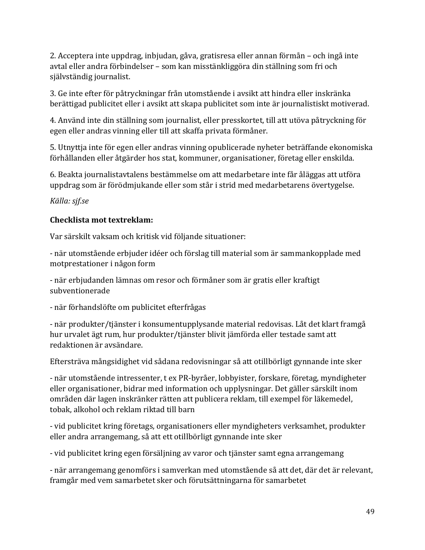2. Acceptera inte uppdrag, inbjudan, gåva, gratisresa eller annan förmån – och ingå inte avtal eller andra förbindelser – som kan misstänkliggöra din ställning som fri och självständig journalist.

3. Ge inte efter för påtryckningar från utomstående i avsikt att hindra eller inskränka berättigad publicitet eller i avsikt att skapa publicitet som inte är journalistiskt motiverad.

4. Använd inte din ställning som journalist, eller presskortet, till att utöva påtryckning för egen eller andras vinning eller till att skaffa privata förmåner.

5. Utnyttja inte för egen eller andras vinning opublicerade nyheter beträffande ekonomiska förhållanden eller åtgärder hos stat, kommuner, organisationer, företag eller enskilda.

6. Beakta journalistavtalens bestämmelse om att medarbetare inte får åläggas att utföra uppdrag som är förödmjukande eller som står i strid med medarbetarens övertygelse.

*Källa: sjf.se*

#### **Checklista mot textreklam:**

Var särskilt vaksam och kritisk vid följande situationer:

- när utomstående erbjuder idéer och förslag till material som är sammankopplade med motprestationer i någon form

- när erbjudanden lämnas om resor och förmåner som är gratis eller kraftigt subventionerade

- när förhandslöfte om publicitet efterfrågas

- när produkter/tjänster i konsumentupplysande material redovisas. Låt det klart framgå hur urvalet ägt rum, hur produkter/tjänster blivit jämförda eller testade samt att redaktionen är avsändare.

Eftersträva mångsidighet vid sådana redovisningar så att otillbörligt gynnande inte sker

- när utomstående intressenter, t ex PR-byråer, lobbyister, forskare, företag, myndigheter eller organisationer, bidrar med information och upplysningar. Det gäller särskilt inom områden där lagen inskränker rätten att publicera reklam, till exempel för läkemedel, tobak, alkohol och reklam riktad till barn

- vid publicitet kring företags, organisationers eller myndigheters verksamhet, produkter eller andra arrangemang, så att ett otillbörligt gynnande inte sker

- vid publicitet kring egen försäljning av varor och tjänster samt egna arrangemang

- när arrangemang genomförs i samverkan med utomstående så att det, där det är relevant, framgår med vem samarbetet sker och förutsättningarna för samarbetet